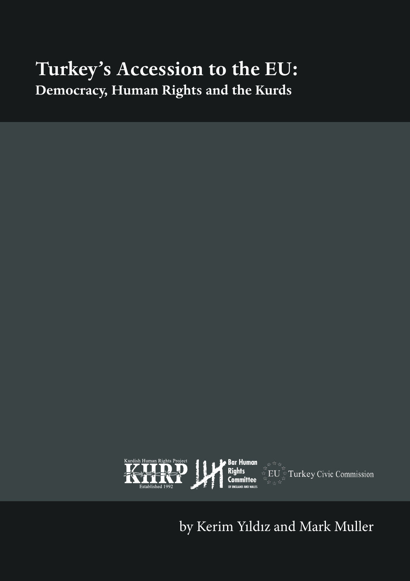# **Turkey's Accession to the EU: Democracy, Human Rights and the Kurds**



by Kerim Yıldız and Mark Muller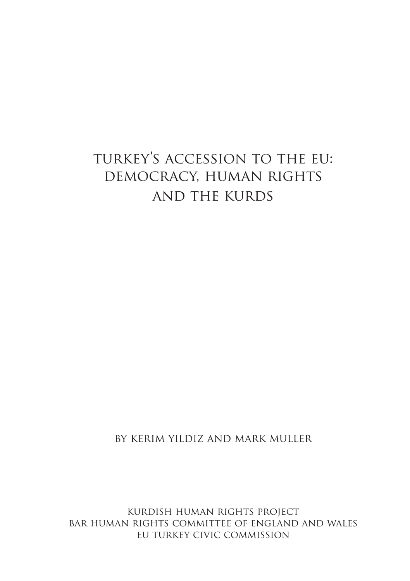# turkey's accession to the eu: democracy, human rights and the kurds

by kerim yıldız and mark muller

kurdish human rights project bar human rights committee of england and wales eu turkey civic commission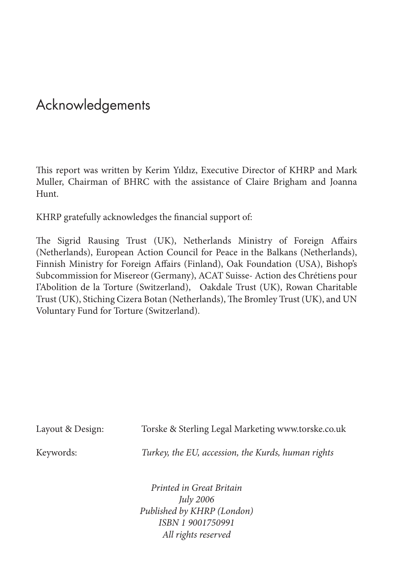### Acknowledgements

This report was written by Kerim Yıldız, Executive Director of KHRP and Mark Muller, Chairman of BHRC with the assistance of Claire Brigham and Joanna Hunt.

KHRP gratefully acknowledges the financial support of:

The Sigrid Rausing Trust (UK), Netherlands Ministry of Foreign Affairs (Netherlands), European Action Council for Peace in the Balkans (Netherlands), Finnish Ministry for Foreign Affairs (Finland), Oak Foundation (USA), Bishop's Subcommission for Misereor (Germany), ACAT Suisse- Action des Chrétiens pour I'Abolition de la Torture (Switzerland), Oakdale Trust (UK), Rowan Charitable Trust (UK), Stiching Cizera Botan (Netherlands), The Bromley Trust (UK), and UN Voluntary Fund for Torture (Switzerland).

| Layout & Design: | Torske & Sterling Legal Marketing www.torske.co.uk |
|------------------|----------------------------------------------------|
| Keywords:        | Turkey, the EU, accession, the Kurds, human rights |
|                  | Printed in Great Britain                           |
|                  | <i>July</i> 2006<br>Published by KHRP (London)     |
|                  | ISBN 19001750991                                   |
|                  | All rights reserved                                |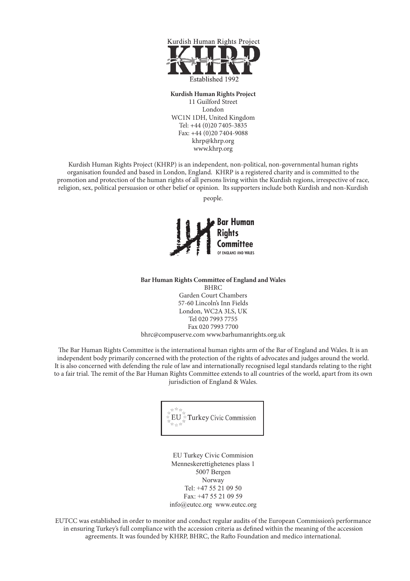

**Kurdish Human Rights Project** 11 Guilford Street London WC1N 1DH, United Kingdom Tel: +44 (0)20 7405-3835 Fax: +44 (0)20 7404-9088 khrp@khrp.org www.khrp.org

Kurdish Human Rights Project (KHRP) is an independent, non-political, non-governmental human rights organisation founded and based in London, England. KHRP is a registered charity and is committed to the promotion and protection of the human rights of all persons living within the Kurdish regions, irrespective of race, religion, sex, political persuasion or other belief or opinion. Its supporters include both Kurdish and non-Kurdish

people.



#### **Bar Human Rights Committee of England and Wales BHRC**

Garden Court Chambers 57-60 Lincoln's Inn Fields London, WC2A 3LS, UK Tel 020 7993 7755 Fax 020 7993 7700 bhrc@compuserve.com www.barhumanrights.org.uk

The Bar Human Rights Committee is the international human rights arm of the Bar of England and Wales. It is an independent body primarily concerned with the protection of the rights of advocates and judges around the world. It is also concerned with defending the rule of law and internationally recognised legal standards relating to the right to a fair trial. The remit of the Bar Human Rights Committee extends to all countries of the world, apart from its own jurisdiction of England & Wales.



EU Turkey Civic Commision Menneskerettighetenes plass 1 5007 Bergen Norway Tel: +47 55 21 09 50 Fax: +47 55 21 09 59 info@eutcc.org www.eutcc.org

EUTCC was established in order to monitor and conduct regular audits of the European Commission's performance in ensuring Turkey's full compliance with the accession criteria as defined within the meaning of the accession agreements. It was founded by KHRP, BHRC, the Rafto Foundation and medico international.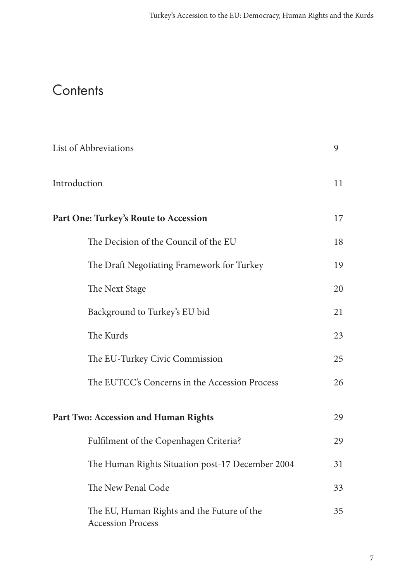### **Contents**

| List of Abbreviations                                                  | 9  |
|------------------------------------------------------------------------|----|
| Introduction                                                           | 11 |
| Part One: Turkey's Route to Accession                                  | 17 |
| The Decision of the Council of the EU                                  | 18 |
| The Draft Negotiating Framework for Turkey                             | 19 |
| The Next Stage                                                         | 20 |
| Background to Turkey's EU bid                                          | 21 |
| The Kurds                                                              | 23 |
| The EU-Turkey Civic Commission                                         | 25 |
| The EUTCC's Concerns in the Accession Process                          | 26 |
| Part Two: Accession and Human Rights                                   | 29 |
| Fulfilment of the Copenhagen Criteria?                                 | 29 |
| The Human Rights Situation post-17 December 2004                       | 31 |
| The New Penal Code                                                     | 33 |
| The EU, Human Rights and the Future of the<br><b>Accession Process</b> | 35 |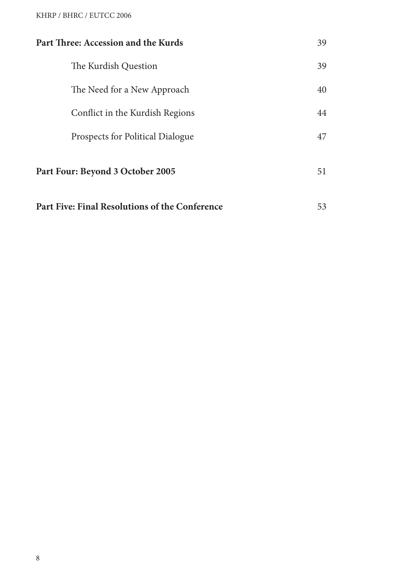| Part Three: Accession and the Kurds            |    |
|------------------------------------------------|----|
| The Kurdish Question                           | 39 |
| The Need for a New Approach                    | 40 |
| Conflict in the Kurdish Regions                | 44 |
| Prospects for Political Dialogue               | 47 |
| Part Four: Beyond 3 October 2005               |    |
| Part Five: Final Resolutions of the Conference |    |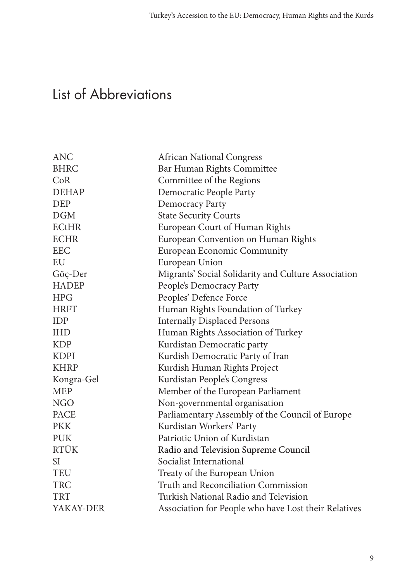# List of Abbreviations

| <b>ANC</b>   | <b>African National Congress</b>                     |
|--------------|------------------------------------------------------|
| <b>BHRC</b>  | Bar Human Rights Committee                           |
| CoR          | Committee of the Regions                             |
| <b>DEHAP</b> | Democratic People Party                              |
| <b>DEP</b>   | Democracy Party                                      |
| <b>DGM</b>   | <b>State Security Courts</b>                         |
| <b>ECtHR</b> | European Court of Human Rights                       |
| <b>ECHR</b>  | European Convention on Human Rights                  |
| <b>EEC</b>   | European Economic Community                          |
| EU           | European Union                                       |
| Göç-Der      | Migrants' Social Solidarity and Culture Association  |
| <b>HADEP</b> | People's Democracy Party                             |
| HPG          | Peoples' Defence Force                               |
| <b>HRFT</b>  | Human Rights Foundation of Turkey                    |
| <b>IDP</b>   | <b>Internally Displaced Persons</b>                  |
| <b>IHD</b>   | Human Rights Association of Turkey                   |
| <b>KDP</b>   | Kurdistan Democratic party                           |
| <b>KDPI</b>  | Kurdish Democratic Party of Iran                     |
| <b>KHRP</b>  | Kurdish Human Rights Project                         |
| Kongra-Gel   | Kurdistan People's Congress                          |
| <b>MEP</b>   | Member of the European Parliament                    |
| NGO          | Non-governmental organisation                        |
| <b>PACE</b>  | Parliamentary Assembly of the Council of Europe      |
| <b>PKK</b>   | Kurdistan Workers' Party                             |
| <b>PUK</b>   | Patriotic Union of Kurdistan                         |
| RTÜK         | Radio and Television Supreme Council                 |
| SI           | Socialist International                              |
| <b>TEU</b>   | Treaty of the European Union                         |
| <b>TRC</b>   | Truth and Reconciliation Commission                  |
| <b>TRT</b>   | Turkish National Radio and Television                |
| YAKAY-DER    | Association for People who have Lost their Relatives |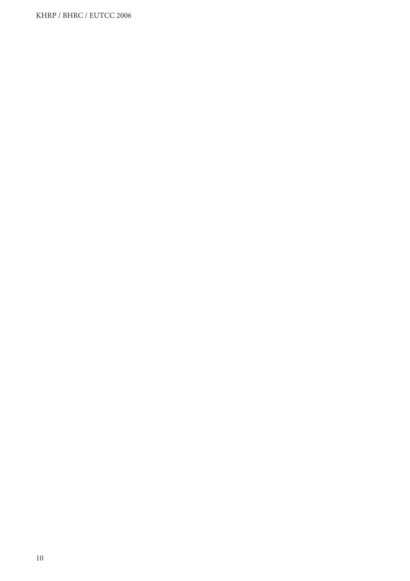KHRP / BHRC / EUTCC 2006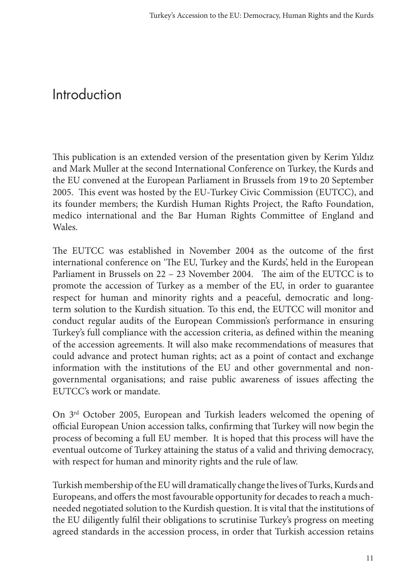## Introduction

This publication is an extended version of the presentation given by Kerim Yıldız and Mark Muller at the second International Conference on Turkey, the Kurds and the EU convened at the European Parliament in Brussels from 19 to 20 September 2005. This event was hosted by the EU-Turkey Civic Commission (EUTCC), and its founder members; the Kurdish Human Rights Project, the Rafto Foundation, medico international and the Bar Human Rights Committee of England and Wales.

The EUTCC was established in November 2004 as the outcome of the first international conference on 'The EU, Turkey and the Kurds', held in the European Parliament in Brussels on 22 – 23 November 2004. The aim of the EUTCC is to promote the accession of Turkey as a member of the EU, in order to guarantee respect for human and minority rights and a peaceful, democratic and longterm solution to the Kurdish situation. To this end, the EUTCC will monitor and conduct regular audits of the European Commission's performance in ensuring Turkey's full compliance with the accession criteria, as defined within the meaning of the accession agreements. It will also make recommendations of measures that could advance and protect human rights; act as a point of contact and exchange information with the institutions of the EU and other governmental and nongovernmental organisations; and raise public awareness of issues affecting the EUTCC's work or mandate.

On 3rd October 2005, European and Turkish leaders welcomed the opening of official European Union accession talks, confirming that Turkey will now begin the process of becoming a full EU member. It is hoped that this process will have the eventual outcome of Turkey attaining the status of a valid and thriving democracy, with respect for human and minority rights and the rule of law.

Turkish membership of the EU will dramatically change the lives of Turks, Kurds and Europeans, and offers the most favourable opportunity for decades to reach a muchneeded negotiated solution to the Kurdish question. It is vital that the institutions of the EU diligently fulfil their obligations to scrutinise Turkey's progress on meeting agreed standards in the accession process, in order that Turkish accession retains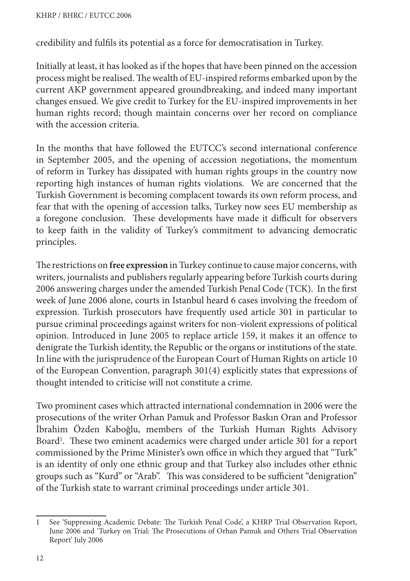credibility and fulfils its potential as a force for democratisation in Turkey.

Initially at least, it has looked as if the hopes that have been pinned on the accession process might be realised. The wealth of EU-inspired reforms embarked upon by the current AKP government appeared groundbreaking, and indeed many important changes ensued. We give credit to Turkey for the EU-inspired improvements in her human rights record; though maintain concerns over her record on compliance with the accession criteria.

In the months that have followed the EUTCC's second international conference in September 2005, and the opening of accession negotiations, the momentum of reform in Turkey has dissipated with human rights groups in the country now reporting high instances of human rights violations. We are concerned that the Turkish Government is becoming complacent towards its own reform process, and fear that with the opening of accession talks, Turkey now sees EU membership as a foregone conclusion. These developments have made it difficult for observers to keep faith in the validity of Turkey's commitment to advancing democratic principles.

The restrictions on **free expression** in Turkey continue to cause major concerns, with writers, journalists and publishers regularly appearing before Turkish courts during 2006 answering charges under the amended Turkish Penal Code (TCK). In the first week of June 2006 alone, courts in Istanbul heard 6 cases involving the freedom of expression. Turkish prosecutors have frequently used article 301 in particular to pursue criminal proceedings against writers for non-violent expressions of political opinion. Introduced in June 2005 to replace article 159, it makes it an offence to denigrate the Turkish identity, the Republic or the organs or institutions of the state. In line with the jurisprudence of the European Court of Human Rights on article 10 of the European Convention, paragraph 301(4) explicitly states that expressions of thought intended to criticise will not constitute a crime.

Two prominent cases which attracted international condemnation in 2006 were the prosecutions of the writer Orhan Pamuk and Professor Baskın Oran and Professor İbrahim Özden Kaboğlu, members of the Turkish Human Rights Advisory Board<sup>1</sup>. These two eminent academics were charged under article 301 for a report commissioned by the Prime Minister's own office in which they argued that "Turk" is an identity of only one ethnic group and that Turkey also includes other ethnic groups such as "Kurd" or "Arab". This was considered to be sufficient "denigration" of the Turkish state to warrant criminal proceedings under article 301.

<sup>1</sup> See 'Suppressing Academic Debate: The Turkish Penal Code', a KHRP Trial Observation Report, June 2006 and 'Turkey on Trial: The Prosecutions of Orhan Pamuk and Others Trial Observation Report' July 2006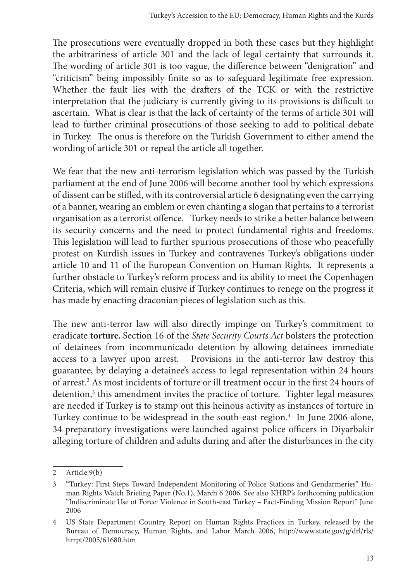The prosecutions were eventually dropped in both these cases but they highlight the arbitrariness of article 301 and the lack of legal certainty that surrounds it. The wording of article 301 is too vague, the difference between "denigration" and "criticism" being impossibly finite so as to safeguard legitimate free expression. Whether the fault lies with the drafters of the TCK or with the restrictive interpretation that the judiciary is currently giving to its provisions is difficult to ascertain. What is clear is that the lack of certainty of the terms of article 301 will lead to further criminal prosecutions of those seeking to add to political debate in Turkey. The onus is therefore on the Turkish Government to either amend the wording of article 301 or repeal the article all together.

We fear that the new anti-terrorism legislation which was passed by the Turkish parliament at the end of June 2006 will become another tool by which expressions of dissent can be stifled, with its controversial article 6 designating even the carrying of a banner, wearing an emblem or even chanting a slogan that pertains to a terrorist organisation as a terrorist offence. Turkey needs to strike a better balance between its security concerns and the need to protect fundamental rights and freedoms. This legislation will lead to further spurious prosecutions of those who peacefully protest on Kurdish issues in Turkey and contravenes Turkey's obligations under article 10 and 11 of the European Convention on Human Rights. It represents a further obstacle to Turkey's reform process and its ability to meet the Copenhagen Criteria, which will remain elusive if Turkey continues to renege on the progress it has made by enacting draconian pieces of legislation such as this.

The new anti-terror law will also directly impinge on Turkey's commitment to eradicate **torture.** Section 16 of the *State Security Courts Act* bolsters the protection of detainees from incommunicado detention by allowing detainees immediate access to a lawyer upon arrest. Provisions in the anti-terror law destroy this guarantee, by delaying a detainee's access to legal representation within 24 hours of arrest.2 As most incidents of torture or ill treatment occur in the first 24 hours of detention,<sup>3</sup> this amendment invites the practice of torture. Tighter legal measures are needed if Turkey is to stamp out this heinous activity as instances of torture in Turkey continue to be widespread in the south-east region.<sup>4</sup> In June 2006 alone, 34 preparatory investigations were launched against police officers in Diyarbakir alleging torture of children and adults during and after the disturbances in the city

<sup>2</sup> Article 9(b)

<sup>3 &</sup>quot;Turkey: First Steps Toward Independent Monitoring of Police Stations and Gendarmeries" Human Rights Watch Briefing Paper (No.1), March 6 2006. See also KHRP's forthcoming publication "Indiscriminate Use of Force: Violence in South-east Turkey – Fact-Finding Mission Report" June 2006

<sup>4</sup> US State Department Country Report on Human Rights Practices in Turkey, released by the Bureau of Democracy, Human Rights, and Labor March 2006, http://www.state.gov/g/drl/rls/ hrrpt/2005/61680.htm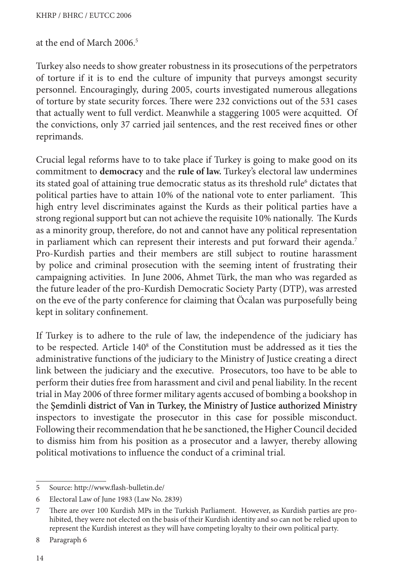at the end of March 2006.5

Turkey also needs to show greater robustness in its prosecutions of the perpetrators of torture if it is to end the culture of impunity that purveys amongst security personnel. Encouragingly, during 2005, courts investigated numerous allegations of torture by state security forces. There were 232 convictions out of the 531 cases that actually went to full verdict. Meanwhile a staggering 1005 were acquitted. Of the convictions, only 37 carried jail sentences, and the rest received fines or other reprimands.

Crucial legal reforms have to to take place if Turkey is going to make good on its commitment to **democracy** and the **rule of law.** Turkey's electoral law undermines its stated goal of attaining true democratic status as its threshold rule $^6$  dictates that political parties have to attain 10% of the national vote to enter parliament. This high entry level discriminates against the Kurds as their political parties have a strong regional support but can not achieve the requisite 10% nationally. The Kurds as a minority group, therefore, do not and cannot have any political representation in parliament which can represent their interests and put forward their agenda.<sup>7</sup> Pro-Kurdish parties and their members are still subject to routine harassment by police and criminal prosecution with the seeming intent of frustrating their campaigning activities. In June 2006, Ahmet Türk, the man who was regarded as the future leader of the pro-Kurdish Democratic Society Party (DTP), was arrested on the eve of the party conference for claiming that Öcalan was purposefully being kept in solitary confinement.

If Turkey is to adhere to the rule of law, the independence of the judiciary has to be respected. Article 140<sup>8</sup> of the Constitution must be addressed as it ties the administrative functions of the judiciary to the Ministry of Justice creating a direct link between the judiciary and the executive. Prosecutors, too have to be able to perform their duties free from harassment and civil and penal liability. In the recent trial in May 2006 of three former military agents accused of bombing a bookshop in the Şemdinli district of Van in Turkey, the Ministry of Justice authorized Ministry inspectors to investigate the prosecutor in this case for possible misconduct. Following their recommendation that he be sanctioned, the Higher Council decided to dismiss him from his position as a prosecutor and a lawyer, thereby allowing political motivations to influence the conduct of a criminal trial.

<sup>5</sup> Source: http://www.flash-bulletin.de/

<sup>6</sup> Electoral Law of June 1983 (Law No. 2839)

<sup>7</sup> There are over 100 Kurdish MPs in the Turkish Parliament. However, as Kurdish parties are prohibited, they were not elected on the basis of their Kurdish identity and so can not be relied upon to represent the Kurdish interest as they will have competing loyalty to their own political party.

<sup>8</sup> Paragraph 6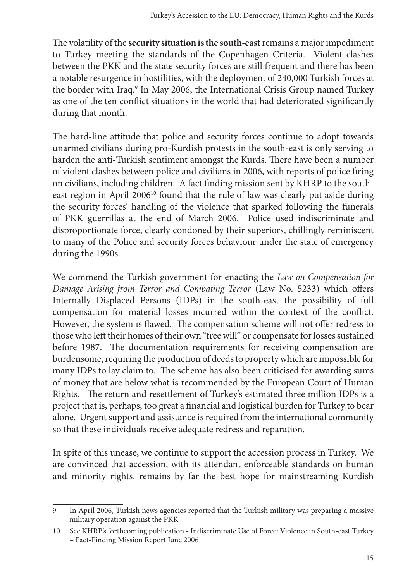The volatility of the **security situation is the south-east** remains a major impediment to Turkey meeting the standards of the Copenhagen Criteria. Violent clashes between the PKK and the state security forces are still frequent and there has been a notable resurgence in hostilities, with the deployment of 240,000 Turkish forces at the border with Iraq.<sup>9</sup> In May 2006, the International Crisis Group named Turkey as one of the ten conflict situations in the world that had deteriorated significantly during that month.

The hard-line attitude that police and security forces continue to adopt towards unarmed civilians during pro-Kurdish protests in the south-east is only serving to harden the anti-Turkish sentiment amongst the Kurds. There have been a number of violent clashes between police and civilians in 2006, with reports of police firing on civilians, including children. A fact finding mission sent by KHRP to the southeast region in April 2006<sup>10</sup> found that the rule of law was clearly put aside during the security forces' handling of the violence that sparked following the funerals of PKK guerrillas at the end of March 2006. Police used indiscriminate and disproportionate force, clearly condoned by their superiors, chillingly reminiscent to many of the Police and security forces behaviour under the state of emergency during the 1990s.

We commend the Turkish government for enacting the *Law on Compensation for Damage Arising from Terror and Combating Terror* (Law No. 5233) which offers Internally Displaced Persons (IDPs) in the south-east the possibility of full compensation for material losses incurred within the context of the conflict. However, the system is flawed. The compensation scheme will not offer redress to those who left their homes of their own "free will" or compensate for losses sustained before 1987. The documentation requirements for receiving compensation are burdensome, requiring the production of deeds to property which are impossible for many IDPs to lay claim to. The scheme has also been criticised for awarding sums of money that are below what is recommended by the European Court of Human Rights. The return and resettlement of Turkey's estimated three million IDPs is a project that is, perhaps, too great a financial and logistical burden for Turkey to bear alone. Urgent support and assistance is required from the international community so that these individuals receive adequate redress and reparation.

In spite of this unease, we continue to support the accession process in Turkey. We are convinced that accession, with its attendant enforceable standards on human and minority rights, remains by far the best hope for mainstreaming Kurdish

<sup>9</sup> In April 2006, Turkish news agencies reported that the Turkish military was preparing a massive military operation against the PKK

<sup>10</sup> See KHRP's forthcoming publication - Indiscriminate Use of Force: Violence in South-east Turkey – Fact-Finding Mission Report June 2006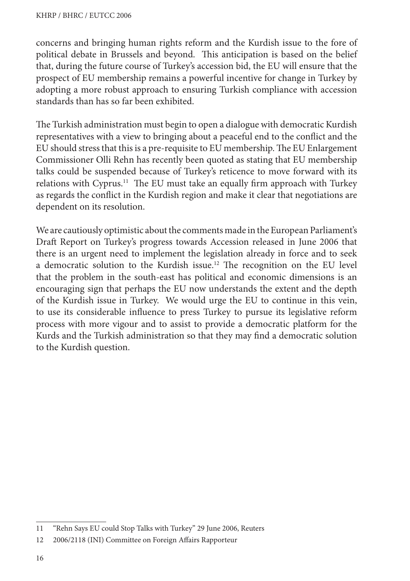concerns and bringing human rights reform and the Kurdish issue to the fore of political debate in Brussels and beyond. This anticipation is based on the belief that, during the future course of Turkey's accession bid, the EU will ensure that the prospect of EU membership remains a powerful incentive for change in Turkey by adopting a more robust approach to ensuring Turkish compliance with accession standards than has so far been exhibited.

The Turkish administration must begin to open a dialogue with democratic Kurdish representatives with a view to bringing about a peaceful end to the conflict and the EU should stress that this is a pre-requisite to EU membership. The EU Enlargement Commissioner Olli Rehn has recently been quoted as stating that EU membership talks could be suspended because of Turkey's reticence to move forward with its relations with Cyprus.<sup>11</sup> The EU must take an equally firm approach with Turkey as regards the conflict in the Kurdish region and make it clear that negotiations are dependent on its resolution.

We are cautiously optimistic about the comments made in the European Parliament's Draft Report on Turkey's progress towards Accession released in June 2006 that there is an urgent need to implement the legislation already in force and to seek a democratic solution to the Kurdish issue.12 The recognition on the EU level that the problem in the south-east has political and economic dimensions is an encouraging sign that perhaps the EU now understands the extent and the depth of the Kurdish issue in Turkey. We would urge the EU to continue in this vein, to use its considerable influence to press Turkey to pursue its legislative reform process with more vigour and to assist to provide a democratic platform for the Kurds and the Turkish administration so that they may find a democratic solution to the Kurdish question.

<sup>11 &</sup>quot;Rehn Says EU could Stop Talks with Turkey" 29 June 2006, Reuters

<sup>12 2006/2118 (</sup>INI) Committee on Foreign Affairs Rapporteur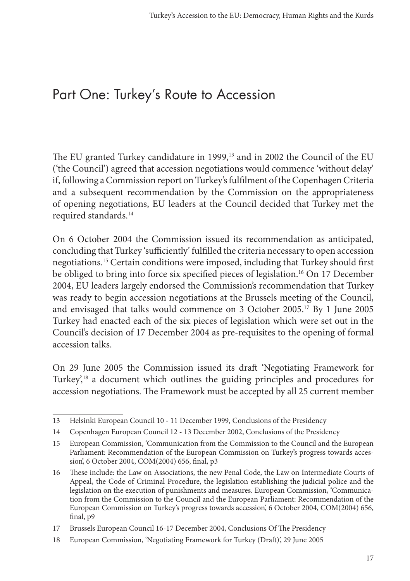## Part One: Turkey's Route to Accession

The EU granted Turkey candidature in 1999,<sup>13</sup> and in 2002 the Council of the EU ('the Council') agreed that accession negotiations would commence 'without delay' if, following a Commission report on Turkey's fulfilment of the Copenhagen Criteria and a subsequent recommendation by the Commission on the appropriateness of opening negotiations, EU leaders at the Council decided that Turkey met the required standards.<sup>14</sup>

On 6 October 2004 the Commission issued its recommendation as anticipated, concluding that Turkey 'sufficiently' fulfilled the criteria necessary to open accession negotiations.15 Certain conditions were imposed, including that Turkey should first be obliged to bring into force six specified pieces of legislation.<sup>16</sup> On 17 December 2004, EU leaders largely endorsed the Commission's recommendation that Turkey was ready to begin accession negotiations at the Brussels meeting of the Council, and envisaged that talks would commence on 3 October 2005.17 By 1 June 2005 Turkey had enacted each of the six pieces of legislation which were set out in the Council's decision of 17 December 2004 as pre-requisites to the opening of formal accession talks.

On 29 June 2005 the Commission issued its draft 'Negotiating Framework for Turkey',18 a document which outlines the guiding principles and procedures for accession negotiations. The Framework must be accepted by all 25 current member

<sup>13</sup> Helsinki European Council 10 - 11 December 1999, Conclusions of the Presidency

<sup>14</sup> Copenhagen European Council 12 - 13 December 2002, Conclusions of the Presidency

<sup>15</sup> European Commission, 'Communication from the Commission to the Council and the European Parliament: Recommendation of the European Commission on Turkey's progress towards accession', 6 October 2004, COM(2004) 656, final, p3

<sup>16</sup> These include: the Law on Associations, the new Penal Code, the Law on Intermediate Courts of Appeal, the Code of Criminal Procedure, the legislation establishing the judicial police and the legislation on the execution of punishments and measures. European Commission, 'Communication from the Commission to the Council and the European Parliament: Recommendation of the European Commission on Turkey's progress towards accession', 6 October 2004, COM(2004) 656, final, p9

<sup>17</sup> Brussels European Council 16-17 December 2004, Conclusions Of The Presidency

<sup>18</sup> European Commission, 'Negotiating Framework for Turkey (Draft)', 29 June 2005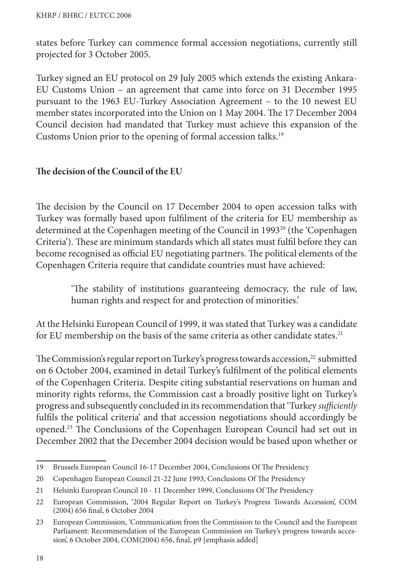states before Turkey can commence formal accession negotiations, currently still projected for 3 October 2005.

Turkey signed an EU protocol on 29 July 2005 which extends the existing Ankara-EU Customs Union – an agreement that came into force on 31 December 1995 pursuant to the 1963 EU-Turkey Association Agreement – to the 10 newest EU member states incorporated into the Union on 1 May 2004. The 17 December 2004 Council decision had mandated that Turkey must achieve this expansion of the Customs Union prior to the opening of formal accession talks.19

#### **The decision of the Council of the EU**

The decision by the Council on 17 December 2004 to open accession talks with Turkey was formally based upon fulfilment of the criteria for EU membership as determined at the Copenhagen meeting of the Council in 199320 (the 'Copenhagen Criteria'). These are minimum standards which all states must fulfil before they can become recognised as official EU negotiating partners. The political elements of the Copenhagen Criteria require that candidate countries must have achieved:

> 'The stability of institutions guaranteeing democracy, the rule of law, human rights and respect for and protection of minorities.'

At the Helsinki European Council of 1999, it was stated that Turkey was a candidate for EU membership on the basis of the same criteria as other candidate states.<sup>21</sup>

The Commission's regular report on Turkey's progress towards accession, $^{22}$  submitted on 6 October 2004, examined in detail Turkey's fulfilment of the political elements of the Copenhagen Criteria. Despite citing substantial reservations on human and minority rights reforms, the Commission cast a broadly positive light on Turkey's progress and subsequently concluded in its recommendation that 'Turkey *sufficiently* fulfils the political criteria' and that accession negotiations should accordingly be opened.23 The Conclusions of the Copenhagen European Council had set out in December 2002 that the December 2004 decision would be based upon whether or

<sup>19</sup> Brussels European Council 16-17 December 2004, Conclusions Of The Presidency

<sup>20</sup> Copenhagen European Council 21-22 June 1993, Conclusions Of The Presidency

<sup>21</sup> Helsinki European Council 10 - 11 December 1999, Conclusions Of The Presidency

<sup>22</sup> European Commission, '2004 Regular Report on Turkey's Progress Towards Accession', COM (2004) 656 final, 6 October 2004

<sup>23</sup> European Commission, 'Communication from the Commission to the Council and the European Parliament: Recommendation of the European Commission on Turkey's progress towards accession', 6 October 2004, COM(2004) 656, final, p9 [emphasis added]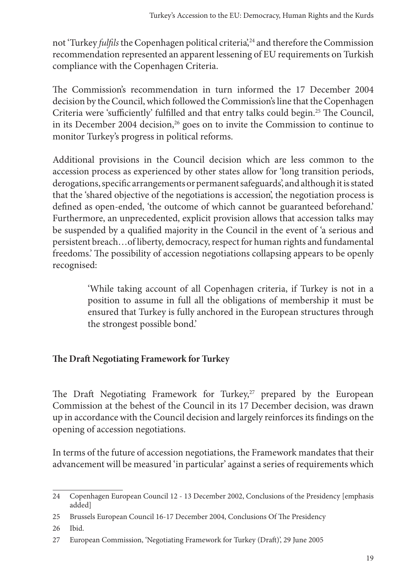not 'Turkey *fulfils* the Copenhagen political criteria',24 and therefore the Commission recommendation represented an apparent lessening of EU requirements on Turkish compliance with the Copenhagen Criteria.

The Commission's recommendation in turn informed the 17 December 2004 decision by the Council, which followed the Commission's line that the Copenhagen Criteria were 'sufficiently' fulfilled and that entry talks could begin.25 The Council, in its December 2004 decision,<sup>26</sup> goes on to invite the Commission to continue to monitor Turkey's progress in political reforms.

Additional provisions in the Council decision which are less common to the accession process as experienced by other states allow for 'long transition periods, derogations, specific arrangements or permanent safeguards', and although it is stated that the 'shared objective of the negotiations is accession', the negotiation process is defined as open-ended, 'the outcome of which cannot be guaranteed beforehand.' Furthermore, an unprecedented, explicit provision allows that accession talks may be suspended by a qualified majority in the Council in the event of 'a serious and persistent breach…of liberty, democracy, respect for human rights and fundamental freedoms.' The possibility of accession negotiations collapsing appears to be openly recognised:

> 'While taking account of all Copenhagen criteria, if Turkey is not in a position to assume in full all the obligations of membership it must be ensured that Turkey is fully anchored in the European structures through the strongest possible bond.'

### **The Draft Negotiating Framework for Turkey**

The Draft Negotiating Framework for Turkey,<sup>27</sup> prepared by the European Commission at the behest of the Council in its 17 December decision, was drawn up in accordance with the Council decision and largely reinforces its findings on the opening of accession negotiations.

In terms of the future of accession negotiations, the Framework mandates that their advancement will be measured 'in particular' against a series of requirements which

<sup>24</sup> Copenhagen European Council 12 - 13 December 2002, Conclusions of the Presidency [emphasis added]

<sup>25</sup> Brussels European Council 16-17 December 2004, Conclusions Of The Presidency

<sup>26</sup> Ibid.

<sup>27</sup> European Commission, 'Negotiating Framework for Turkey (Draft)', 29 June 2005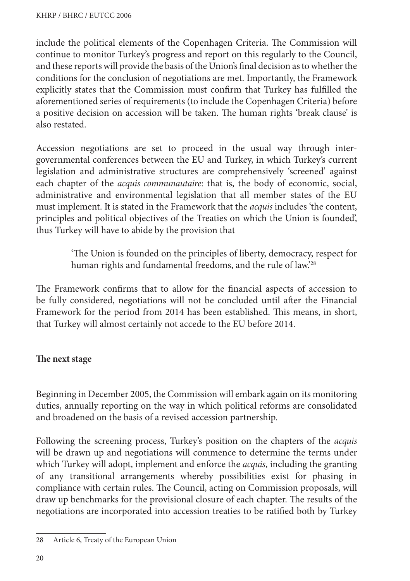include the political elements of the Copenhagen Criteria. The Commission will continue to monitor Turkey's progress and report on this regularly to the Council, and these reports will provide the basis of the Union's final decision as to whether the conditions for the conclusion of negotiations are met. Importantly, the Framework explicitly states that the Commission must confirm that Turkey has fulfilled the aforementioned series of requirements (to include the Copenhagen Criteria) before a positive decision on accession will be taken. The human rights 'break clause' is also restated.

Accession negotiations are set to proceed in the usual way through intergovernmental conferences between the EU and Turkey, in which Turkey's current legislation and administrative structures are comprehensively 'screened' against each chapter of the *acquis communautaire*: that is, the body of economic, social, administrative and environmental legislation that all member states of the EU must implement. It is stated in the Framework that the *acquis* includes 'the content, principles and political objectives of the Treaties on which the Union is founded', thus Turkey will have to abide by the provision that

> 'The Union is founded on the principles of liberty, democracy, respect for human rights and fundamental freedoms, and the rule of law.<sup>28</sup>

The Framework confirms that to allow for the financial aspects of accession to be fully considered, negotiations will not be concluded until after the Financial Framework for the period from 2014 has been established. This means, in short, that Turkey will almost certainly not accede to the EU before 2014.

#### **The next stage**

Beginning in December 2005, the Commission will embark again on its monitoring duties, annually reporting on the way in which political reforms are consolidated and broadened on the basis of a revised accession partnership.

Following the screening process, Turkey's position on the chapters of the *acquis* will be drawn up and negotiations will commence to determine the terms under which Turkey will adopt, implement and enforce the *acquis*, including the granting of any transitional arrangements whereby possibilities exist for phasing in compliance with certain rules. The Council, acting on Commission proposals, will draw up benchmarks for the provisional closure of each chapter. The results of the negotiations are incorporated into accession treaties to be ratified both by Turkey

<sup>28</sup> Article 6, Treaty of the European Union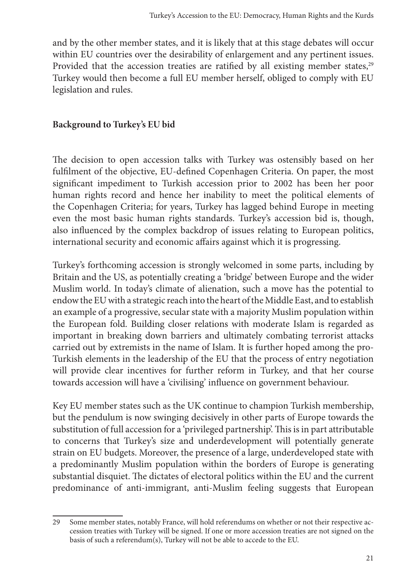and by the other member states, and it is likely that at this stage debates will occur within EU countries over the desirability of enlargement and any pertinent issues. Provided that the accession treaties are ratified by all existing member states,<sup>29</sup> Turkey would then become a full EU member herself, obliged to comply with EU legislation and rules.

#### **Background to Turkey's EU bid**

The decision to open accession talks with Turkey was ostensibly based on her fulfilment of the objective, EU-defined Copenhagen Criteria. On paper, the most significant impediment to Turkish accession prior to 2002 has been her poor human rights record and hence her inability to meet the political elements of the Copenhagen Criteria; for years, Turkey has lagged behind Europe in meeting even the most basic human rights standards. Turkey's accession bid is, though, also influenced by the complex backdrop of issues relating to European politics, international security and economic affairs against which it is progressing.

Turkey's forthcoming accession is strongly welcomed in some parts, including by Britain and the US, as potentially creating a 'bridge' between Europe and the wider Muslim world. In today's climate of alienation, such a move has the potential to endow the EU with a strategic reach into the heart of the Middle East, and to establish an example of a progressive, secular state with a majority Muslim population within the European fold. Building closer relations with moderate Islam is regarded as important in breaking down barriers and ultimately combating terrorist attacks carried out by extremists in the name of Islam. It is further hoped among the pro-Turkish elements in the leadership of the EU that the process of entry negotiation will provide clear incentives for further reform in Turkey, and that her course towards accession will have a 'civilising' influence on government behaviour.

Key EU member states such as the UK continue to champion Turkish membership, but the pendulum is now swinging decisively in other parts of Europe towards the substitution of full accession for a 'privileged partnership'. This is in part attributable to concerns that Turkey's size and underdevelopment will potentially generate strain on EU budgets. Moreover, the presence of a large, underdeveloped state with a predominantly Muslim population within the borders of Europe is generating substantial disquiet. The dictates of electoral politics within the EU and the current predominance of anti-immigrant, anti-Muslim feeling suggests that European

<sup>29</sup> Some member states, notably France, will hold referendums on whether or not their respective accession treaties with Turkey will be signed. If one or more accession treaties are not signed on the basis of such a referendum(s), Turkey will not be able to accede to the EU.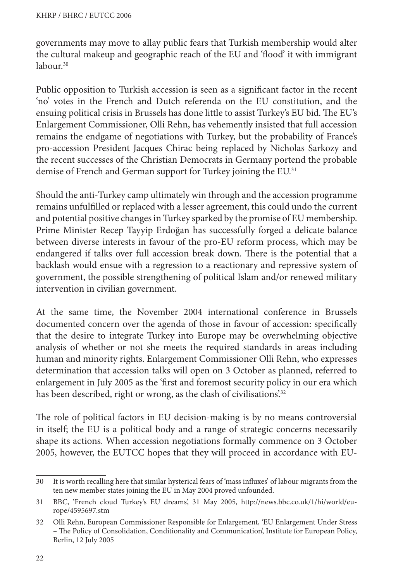governments may move to allay public fears that Turkish membership would alter the cultural makeup and geographic reach of the EU and 'flood' it with immigrant labour.30

Public opposition to Turkish accession is seen as a significant factor in the recent 'no' votes in the French and Dutch referenda on the EU constitution, and the ensuing political crisis in Brussels has done little to assist Turkey's EU bid. The EU's Enlargement Commissioner, Olli Rehn, has vehemently insisted that full accession remains the endgame of negotiations with Turkey, but the probability of France's pro-accession President Jacques Chirac being replaced by Nicholas Sarkozy and the recent successes of the Christian Democrats in Germany portend the probable demise of French and German support for Turkey joining the EU.<sup>31</sup>

Should the anti-Turkey camp ultimately win through and the accession programme remains unfulfilled or replaced with a lesser agreement, this could undo the current and potential positive changes in Turkey sparked by the promise of EU membership. Prime Minister Recep Tayyip Erdoğan has successfully forged a delicate balance between diverse interests in favour of the pro-EU reform process, which may be endangered if talks over full accession break down. There is the potential that a backlash would ensue with a regression to a reactionary and repressive system of government, the possible strengthening of political Islam and/or renewed military intervention in civilian government.

At the same time, the November 2004 international conference in Brussels documented concern over the agenda of those in favour of accession: specifically that the desire to integrate Turkey into Europe may be overwhelming objective analysis of whether or not she meets the required standards in areas including human and minority rights. Enlargement Commissioner Olli Rehn, who expresses determination that accession talks will open on 3 October as planned, referred to enlargement in July 2005 as the 'first and foremost security policy in our era which has been described, right or wrong, as the clash of civilisations.<sup>32</sup>

The role of political factors in EU decision-making is by no means controversial in itself; the EU is a political body and a range of strategic concerns necessarily shape its actions. When accession negotiations formally commence on 3 October 2005, however, the EUTCC hopes that they will proceed in accordance with EU-

<sup>30</sup> It is worth recalling here that similar hysterical fears of 'mass influxes' of labour migrants from the ten new member states joining the EU in May 2004 proved unfounded.

<sup>31</sup> BBC, 'French cloud Turkey's EU dreams', 31 May 2005, http://news.bbc.co.uk/1/hi/world/europe/4595697.stm

<sup>32</sup> Olli Rehn, European Commissioner Responsible for Enlargement, 'EU Enlargement Under Stress – The Policy of Consolidation, Conditionality and Communication', Institute for European Policy, Berlin, 12 July 2005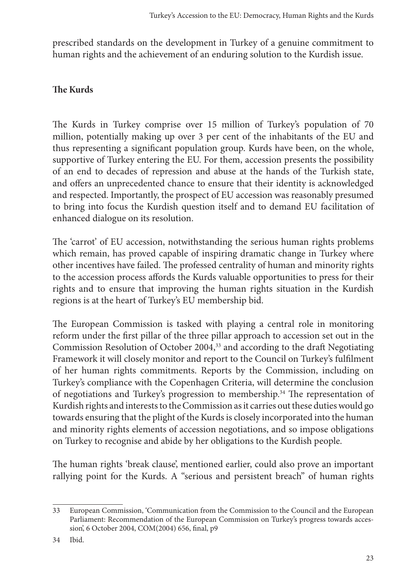prescribed standards on the development in Turkey of a genuine commitment to human rights and the achievement of an enduring solution to the Kurdish issue.

#### **The Kurds**

The Kurds in Turkey comprise over 15 million of Turkey's population of 70 million, potentially making up over 3 per cent of the inhabitants of the EU and thus representing a significant population group. Kurds have been, on the whole, supportive of Turkey entering the EU. For them, accession presents the possibility of an end to decades of repression and abuse at the hands of the Turkish state, and offers an unprecedented chance to ensure that their identity is acknowledged and respected. Importantly, the prospect of EU accession was reasonably presumed to bring into focus the Kurdish question itself and to demand EU facilitation of enhanced dialogue on its resolution.

The 'carrot' of EU accession, notwithstanding the serious human rights problems which remain, has proved capable of inspiring dramatic change in Turkey where other incentives have failed. The professed centrality of human and minority rights to the accession process affords the Kurds valuable opportunities to press for their rights and to ensure that improving the human rights situation in the Kurdish regions is at the heart of Turkey's EU membership bid.

The European Commission is tasked with playing a central role in monitoring reform under the first pillar of the three pillar approach to accession set out in the Commission Resolution of October 2004,<sup>33</sup> and according to the draft Negotiating Framework it will closely monitor and report to the Council on Turkey's fulfilment of her human rights commitments. Reports by the Commission, including on Turkey's compliance with the Copenhagen Criteria, will determine the conclusion of negotiations and Turkey's progression to membership.<sup>34</sup> The representation of Kurdish rights and interests to the Commission as it carries out these duties would go towards ensuring that the plight of the Kurds is closely incorporated into the human and minority rights elements of accession negotiations, and so impose obligations on Turkey to recognise and abide by her obligations to the Kurdish people.

The human rights 'break clause', mentioned earlier, could also prove an important rallying point for the Kurds. A "serious and persistent breach" of human rights

<sup>33</sup> European Commission, 'Communication from the Commission to the Council and the European Parliament: Recommendation of the European Commission on Turkey's progress towards accession', 6 October 2004, COM(2004) 656, final, p9

<sup>34</sup> Ibid.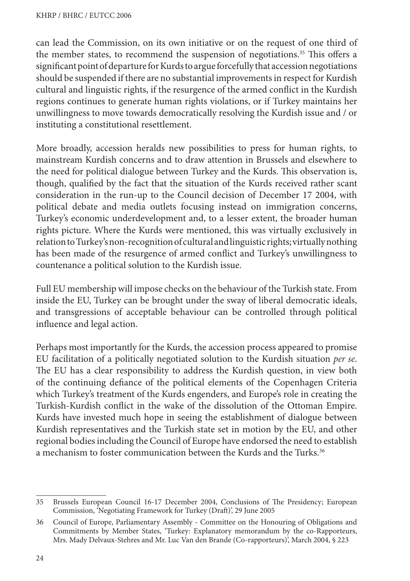can lead the Commission, on its own initiative or on the request of one third of the member states, to recommend the suspension of negotiations.<sup>35</sup> This offers a significant point of departure for Kurds to argue forcefully that accession negotiations should be suspended if there are no substantial improvements in respect for Kurdish cultural and linguistic rights, if the resurgence of the armed conflict in the Kurdish regions continues to generate human rights violations, or if Turkey maintains her unwillingness to move towards democratically resolving the Kurdish issue and / or instituting a constitutional resettlement.

More broadly, accession heralds new possibilities to press for human rights, to mainstream Kurdish concerns and to draw attention in Brussels and elsewhere to the need for political dialogue between Turkey and the Kurds. This observation is, though, qualified by the fact that the situation of the Kurds received rather scant consideration in the run-up to the Council decision of December 17 2004, with political debate and media outlets focusing instead on immigration concerns, Turkey's economic underdevelopment and, to a lesser extent, the broader human rights picture. Where the Kurds were mentioned, this was virtually exclusively in relation to Turkey's non-recognition of cultural and linguistic rights; virtually nothing has been made of the resurgence of armed conflict and Turkey's unwillingness to countenance a political solution to the Kurdish issue.

Full EU membership will impose checks on the behaviour of the Turkish state. From inside the EU, Turkey can be brought under the sway of liberal democratic ideals, and transgressions of acceptable behaviour can be controlled through political influence and legal action.

Perhaps most importantly for the Kurds, the accession process appeared to promise EU facilitation of a politically negotiated solution to the Kurdish situation *per se*. The EU has a clear responsibility to address the Kurdish question, in view both of the continuing defiance of the political elements of the Copenhagen Criteria which Turkey's treatment of the Kurds engenders, and Europe's role in creating the Turkish-Kurdish conflict in the wake of the dissolution of the Ottoman Empire. Kurds have invested much hope in seeing the establishment of dialogue between Kurdish representatives and the Turkish state set in motion by the EU, and other regional bodies including the Council of Europe have endorsed the need to establish a mechanism to foster communication between the Kurds and the Turks.<sup>36</sup>

<sup>35</sup> Brussels European Council 16-17 December 2004, Conclusions of The Presidency; European Commission, 'Negotiating Framework for Turkey (Draft)', 29 June 2005

<sup>36</sup> Council of Europe, Parliamentary Assembly - Committee on the Honouring of Obligations and Commitments by Member States, 'Turkey: Explanatory memorandum by the co-Rapporteurs, Mrs. Mady Delvaux-Stehres and Mr. Luc Van den Brande (Co-rapporteurs)', March 2004, § 223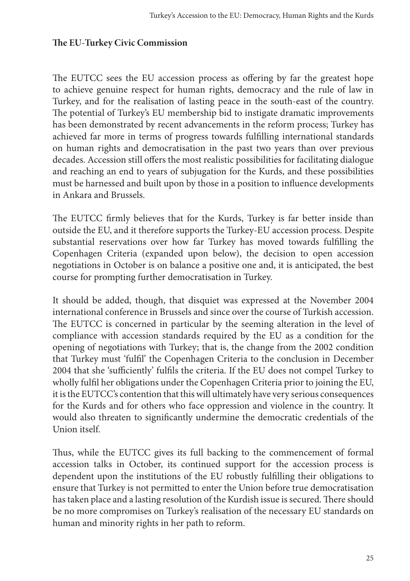#### **The EU-Turkey Civic Commission**

The EUTCC sees the EU accession process as offering by far the greatest hope to achieve genuine respect for human rights, democracy and the rule of law in Turkey, and for the realisation of lasting peace in the south-east of the country. The potential of Turkey's EU membership bid to instigate dramatic improvements has been demonstrated by recent advancements in the reform process; Turkey has achieved far more in terms of progress towards fulfilling international standards on human rights and democratisation in the past two years than over previous decades. Accession still offers the most realistic possibilities for facilitating dialogue and reaching an end to years of subjugation for the Kurds, and these possibilities must be harnessed and built upon by those in a position to influence developments in Ankara and Brussels.

The EUTCC firmly believes that for the Kurds, Turkey is far better inside than outside the EU, and it therefore supports the Turkey-EU accession process. Despite substantial reservations over how far Turkey has moved towards fulfilling the Copenhagen Criteria (expanded upon below), the decision to open accession negotiations in October is on balance a positive one and, it is anticipated, the best course for prompting further democratisation in Turkey.

It should be added, though, that disquiet was expressed at the November 2004 international conference in Brussels and since over the course of Turkish accession. The EUTCC is concerned in particular by the seeming alteration in the level of compliance with accession standards required by the EU as a condition for the opening of negotiations with Turkey; that is, the change from the 2002 condition that Turkey must 'fulfil' the Copenhagen Criteria to the conclusion in December 2004 that she 'sufficiently' fulfils the criteria. If the EU does not compel Turkey to wholly fulfil her obligations under the Copenhagen Criteria prior to joining the EU, it is the EUTCC's contention that this will ultimately have very serious consequences for the Kurds and for others who face oppression and violence in the country. It would also threaten to significantly undermine the democratic credentials of the Union itself.

Thus, while the EUTCC gives its full backing to the commencement of formal accession talks in October, its continued support for the accession process is dependent upon the institutions of the EU robustly fulfilling their obligations to ensure that Turkey is not permitted to enter the Union before true democratisation has taken place and a lasting resolution of the Kurdish issue is secured. There should be no more compromises on Turkey's realisation of the necessary EU standards on human and minority rights in her path to reform.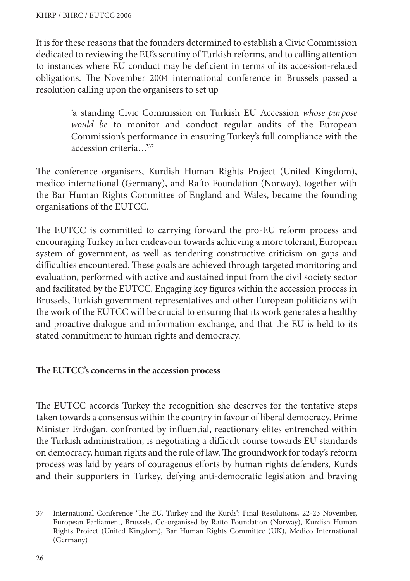It is for these reasons that the founders determined to establish a Civic Commission dedicated to reviewing the EU's scrutiny of Turkish reforms, and to calling attention to instances where EU conduct may be deficient in terms of its accession-related obligations. The November 2004 international conference in Brussels passed a resolution calling upon the organisers to set up

> 'a standing Civic Commission on Turkish EU Accession *whose purpose would be* to monitor and conduct regular audits of the European Commission's performance in ensuring Turkey's full compliance with the accession criteria…'37

The conference organisers, Kurdish Human Rights Project (United Kingdom), medico international (Germany), and Rafto Foundation (Norway), together with the Bar Human Rights Committee of England and Wales, became the founding organisations of the EUTCC.

The EUTCC is committed to carrying forward the pro-EU reform process and encouraging Turkey in her endeavour towards achieving a more tolerant, European system of government, as well as tendering constructive criticism on gaps and difficulties encountered. These goals are achieved through targeted monitoring and evaluation, performed with active and sustained input from the civil society sector and facilitated by the EUTCC. Engaging key figures within the accession process in Brussels, Turkish government representatives and other European politicians with the work of the EUTCC will be crucial to ensuring that its work generates a healthy and proactive dialogue and information exchange, and that the EU is held to its stated commitment to human rights and democracy.

### **The EUTCC's concerns in the accession process**

The EUTCC accords Turkey the recognition she deserves for the tentative steps taken towards a consensus within the country in favour of liberal democracy. Prime Minister Erdoğan, confronted by influential, reactionary elites entrenched within the Turkish administration, is negotiating a difficult course towards EU standards on democracy, human rights and the rule of law. The groundwork for today's reform process was laid by years of courageous efforts by human rights defenders, Kurds and their supporters in Turkey, defying anti-democratic legislation and braving

<sup>37</sup> International Conference 'The EU, Turkey and the Kurds': Final Resolutions, 22-23 November, European Parliament, Brussels, Co-organised by Rafto Foundation (Norway), Kurdish Human Rights Project (United Kingdom), Bar Human Rights Committee (UK), Medico International (Germany)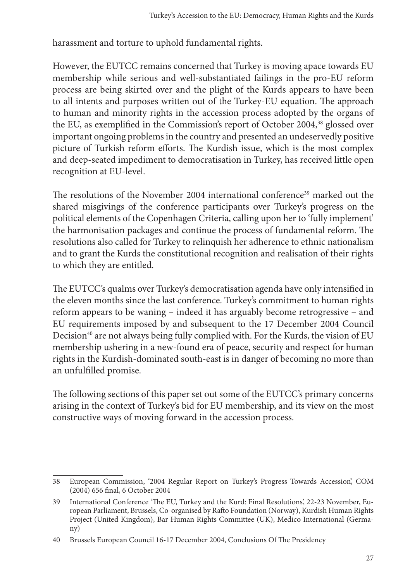harassment and torture to uphold fundamental rights.

However, the EUTCC remains concerned that Turkey is moving apace towards EU membership while serious and well-substantiated failings in the pro-EU reform process are being skirted over and the plight of the Kurds appears to have been to all intents and purposes written out of the Turkey-EU equation. The approach to human and minority rights in the accession process adopted by the organs of the EU, as exemplified in the Commission's report of October 2004,<sup>38</sup> glossed over important ongoing problems in the country and presented an undeservedly positive picture of Turkish reform efforts. The Kurdish issue, which is the most complex and deep-seated impediment to democratisation in Turkey, has received little open recognition at EU-level.

The resolutions of the November 2004 international conference<sup>39</sup> marked out the shared misgivings of the conference participants over Turkey's progress on the political elements of the Copenhagen Criteria, calling upon her to 'fully implement' the harmonisation packages and continue the process of fundamental reform. The resolutions also called for Turkey to relinquish her adherence to ethnic nationalism and to grant the Kurds the constitutional recognition and realisation of their rights to which they are entitled.

The EUTCC's qualms over Turkey's democratisation agenda have only intensified in the eleven months since the last conference. Turkey's commitment to human rights reform appears to be waning – indeed it has arguably become retrogressive – and EU requirements imposed by and subsequent to the 17 December 2004 Council Decision<sup>40</sup> are not always being fully complied with. For the Kurds, the vision of EU membership ushering in a new-found era of peace, security and respect for human rights in the Kurdish-dominated south-east is in danger of becoming no more than an unfulfilled promise.

The following sections of this paper set out some of the EUTCC's primary concerns arising in the context of Turkey's bid for EU membership, and its view on the most constructive ways of moving forward in the accession process.

<sup>38</sup> European Commission, '2004 Regular Report on Turkey's Progress Towards Accession', COM (2004) 656 final, 6 October 2004

<sup>39</sup> International Conference 'The EU, Turkey and the Kurd: Final Resolutions', 22-23 November, European Parliament, Brussels, Co-organised by Rafto Foundation (Norway), Kurdish Human Rights Project (United Kingdom), Bar Human Rights Committee (UK), Medico International (Germany)

<sup>40</sup> Brussels European Council 16-17 December 2004, Conclusions Of The Presidency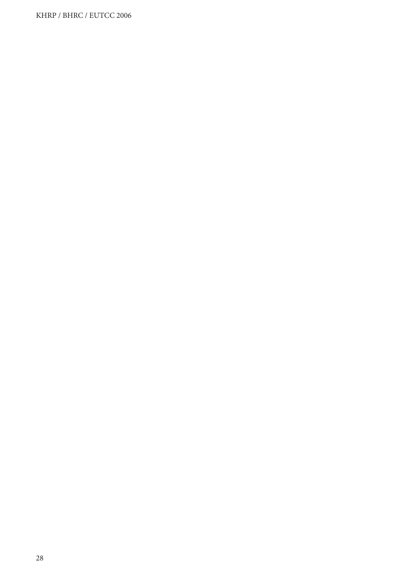KHRP / BHRC / EUTCC 2006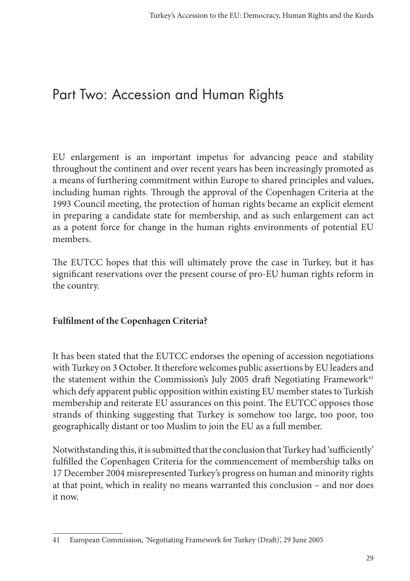# Part Two: Accession and Human Rights

EU enlargement is an important impetus for advancing peace and stability throughout the continent and over recent years has been increasingly promoted as a means of furthering commitment within Europe to shared principles and values, including human rights. Through the approval of the Copenhagen Criteria at the 1993 Council meeting, the protection of human rights became an explicit element in preparing a candidate state for membership, and as such enlargement can act as a potent force for change in the human rights environments of potential EU members.

The EUTCC hopes that this will ultimately prove the case in Turkey, but it has significant reservations over the present course of pro-EU human rights reform in the country.

#### **Fulfilment of the Copenhagen Criteria?**

It has been stated that the EUTCC endorses the opening of accession negotiations with Turkey on 3 October. It therefore welcomes public assertions by EU leaders and the statement within the Commission's July 2005 draft Negotiating Framework<sup>41</sup> which defy apparent public opposition within existing EU member states to Turkish membership and reiterate EU assurances on this point. The EUTCC opposes those strands of thinking suggesting that Turkey is somehow too large, too poor, too geographically distant or too Muslim to join the EU as a full member.

Notwithstanding this, it is submitted that the conclusion that Turkey had 'sufficiently' fulfilled the Copenhagen Criteria for the commencement of membership talks on 17 December 2004 misrepresented Turkey's progress on human and minority rights at that point, which in reality no means warranted this conclusion – and nor does it now.

<sup>41</sup> European Commission, 'Negotiating Framework for Turkey (Draft)', 29 June 2005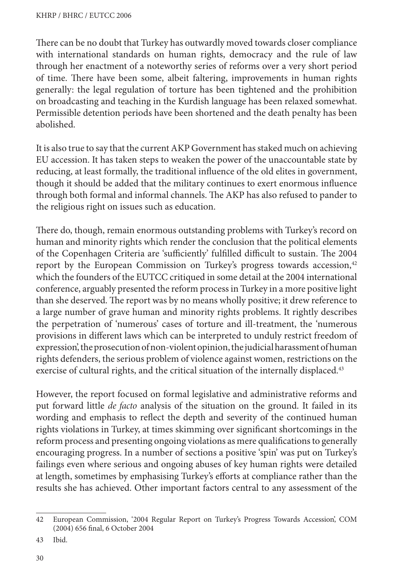There can be no doubt that Turkey has outwardly moved towards closer compliance with international standards on human rights, democracy and the rule of law through her enactment of a noteworthy series of reforms over a very short period of time. There have been some, albeit faltering, improvements in human rights generally: the legal regulation of torture has been tightened and the prohibition on broadcasting and teaching in the Kurdish language has been relaxed somewhat. Permissible detention periods have been shortened and the death penalty has been abolished.

It is also true to say that the current AKP Government has staked much on achieving EU accession. It has taken steps to weaken the power of the unaccountable state by reducing, at least formally, the traditional influence of the old elites in government, though it should be added that the military continues to exert enormous influence through both formal and informal channels. The AKP has also refused to pander to the religious right on issues such as education.

There do, though, remain enormous outstanding problems with Turkey's record on human and minority rights which render the conclusion that the political elements of the Copenhagen Criteria are 'sufficiently' fulfilled difficult to sustain. The 2004 report by the European Commission on Turkey's progress towards accession,<sup>42</sup> which the founders of the EUTCC critiqued in some detail at the 2004 international conference, arguably presented the reform process in Turkey in a more positive light than she deserved. The report was by no means wholly positive; it drew reference to a large number of grave human and minority rights problems. It rightly describes the perpetration of 'numerous' cases of torture and ill-treatment, the 'numerous provisions in different laws which can be interpreted to unduly restrict freedom of expression', the prosecution of non-violent opinion, the judicial harassment of human rights defenders, the serious problem of violence against women, restrictions on the exercise of cultural rights, and the critical situation of the internally displaced.<sup>43</sup>

However, the report focused on formal legislative and administrative reforms and put forward little *de facto* analysis of the situation on the ground. It failed in its wording and emphasis to reflect the depth and severity of the continued human rights violations in Turkey, at times skimming over significant shortcomings in the reform process and presenting ongoing violations as mere qualifications to generally encouraging progress. In a number of sections a positive 'spin' was put on Turkey's failings even where serious and ongoing abuses of key human rights were detailed at length, sometimes by emphasising Turkey's efforts at compliance rather than the results she has achieved. Other important factors central to any assessment of the

<sup>42</sup> European Commission, '2004 Regular Report on Turkey's Progress Towards Accession', COM (2004) 656 final, 6 October 2004

<sup>43</sup> Ibid.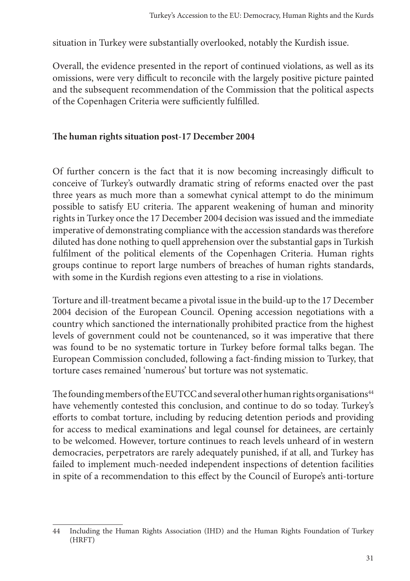situation in Turkey were substantially overlooked, notably the Kurdish issue.

Overall, the evidence presented in the report of continued violations, as well as its omissions, were very difficult to reconcile with the largely positive picture painted and the subsequent recommendation of the Commission that the political aspects of the Copenhagen Criteria were sufficiently fulfilled.

#### **The human rights situation post-17 December 2004**

Of further concern is the fact that it is now becoming increasingly difficult to conceive of Turkey's outwardly dramatic string of reforms enacted over the past three years as much more than a somewhat cynical attempt to do the minimum possible to satisfy EU criteria. The apparent weakening of human and minority rights in Turkey once the 17 December 2004 decision was issued and the immediate imperative of demonstrating compliance with the accession standards was therefore diluted has done nothing to quell apprehension over the substantial gaps in Turkish fulfilment of the political elements of the Copenhagen Criteria. Human rights groups continue to report large numbers of breaches of human rights standards, with some in the Kurdish regions even attesting to a rise in violations.

Torture and ill-treatment became a pivotal issue in the build-up to the 17 December 2004 decision of the European Council. Opening accession negotiations with a country which sanctioned the internationally prohibited practice from the highest levels of government could not be countenanced, so it was imperative that there was found to be no systematic torture in Turkey before formal talks began. The European Commission concluded, following a fact-finding mission to Turkey, that torture cases remained 'numerous' but torture was not systematic.

The founding members of the EUTCC and several other human rights organisations<sup>44</sup> have vehemently contested this conclusion, and continue to do so today. Turkey's efforts to combat torture, including by reducing detention periods and providing for access to medical examinations and legal counsel for detainees, are certainly to be welcomed. However, torture continues to reach levels unheard of in western democracies, perpetrators are rarely adequately punished, if at all, and Turkey has failed to implement much-needed independent inspections of detention facilities in spite of a recommendation to this effect by the Council of Europe's anti-torture

<sup>44</sup> Including the Human Rights Association (IHD) and the Human Rights Foundation of Turkey (HRFT)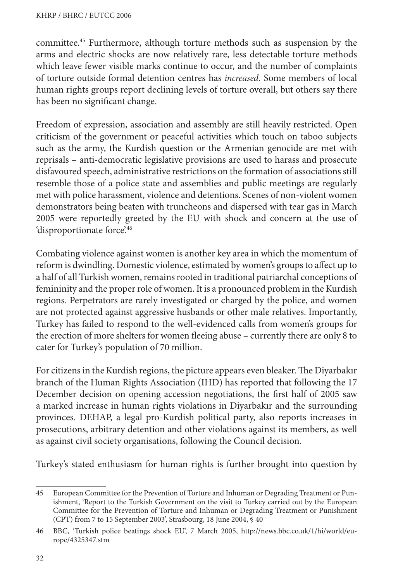committee.45 Furthermore, although torture methods such as suspension by the arms and electric shocks are now relatively rare, less detectable torture methods which leave fewer visible marks continue to occur, and the number of complaints of torture outside formal detention centres has *increased*. Some members of local human rights groups report declining levels of torture overall, but others say there has been no significant change.

Freedom of expression, association and assembly are still heavily restricted. Open criticism of the government or peaceful activities which touch on taboo subjects such as the army, the Kurdish question or the Armenian genocide are met with reprisals – anti-democratic legislative provisions are used to harass and prosecute disfavoured speech, administrative restrictions on the formation of associations still resemble those of a police state and assemblies and public meetings are regularly met with police harassment, violence and detentions. Scenes of non-violent women demonstrators being beaten with truncheons and dispersed with tear gas in March 2005 were reportedly greeted by the EU with shock and concern at the use of 'disproportionate force'.46

Combating violence against women is another key area in which the momentum of reform is dwindling. Domestic violence, estimated by women's groups to affect up to a half of all Turkish women, remains rooted in traditional patriarchal conceptions of femininity and the proper role of women. It is a pronounced problem in the Kurdish regions. Perpetrators are rarely investigated or charged by the police, and women are not protected against aggressive husbands or other male relatives. Importantly, Turkey has failed to respond to the well-evidenced calls from women's groups for the erection of more shelters for women fleeing abuse – currently there are only 8 to cater for Turkey's population of 70 million.

For citizens in the Kurdish regions, the picture appears even bleaker. The Diyarbakır branch of the Human Rights Association (IHD) has reported that following the 17 December decision on opening accession negotiations, the first half of 2005 saw a marked increase in human rights violations in Diyarbakır and the surrounding provinces. DEHAP, a legal pro-Kurdish political party, also reports increases in prosecutions, arbitrary detention and other violations against its members, as well as against civil society organisations, following the Council decision.

Turkey's stated enthusiasm for human rights is further brought into question by

<sup>45</sup> European Committee for the Prevention of Torture and Inhuman or Degrading Treatment or Punishment, 'Report to the Turkish Government on the visit to Turkey carried out by the European Committee for the Prevention of Torture and Inhuman or Degrading Treatment or Punishment (CPT) from 7 to 15 September 2003', Strasbourg, 18 June 2004, § 40

<sup>46</sup> BBC, 'Turkish police beatings shock EU', 7 March 2005, http://news.bbc.co.uk/1/hi/world/europe/4325347.stm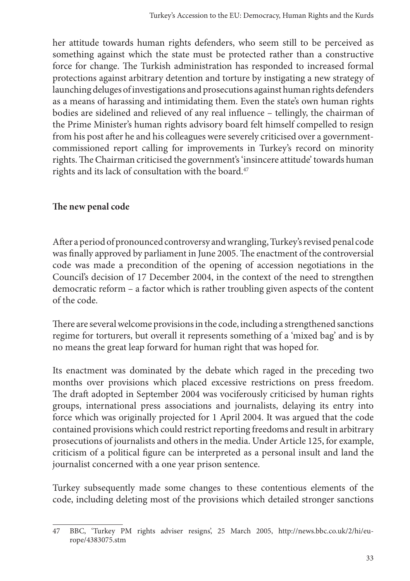her attitude towards human rights defenders, who seem still to be perceived as something against which the state must be protected rather than a constructive force for change. The Turkish administration has responded to increased formal protections against arbitrary detention and torture by instigating a new strategy of launching deluges of investigations and prosecutions against human rights defenders as a means of harassing and intimidating them. Even the state's own human rights bodies are sidelined and relieved of any real influence – tellingly, the chairman of the Prime Minister's human rights advisory board felt himself compelled to resign from his post after he and his colleagues were severely criticised over a governmentcommissioned report calling for improvements in Turkey's record on minority rights. The Chairman criticised the government's 'insincere attitude' towards human rights and its lack of consultation with the board.<sup>47</sup>

#### **The new penal code**

After a period of pronounced controversy and wrangling, Turkey's revised penal code was finally approved by parliament in June 2005. The enactment of the controversial code was made a precondition of the opening of accession negotiations in the Council's decision of 17 December 2004, in the context of the need to strengthen democratic reform – a factor which is rather troubling given aspects of the content of the code.

There are several welcome provisions in the code, including a strengthened sanctions regime for torturers, but overall it represents something of a 'mixed bag' and is by no means the great leap forward for human right that was hoped for.

Its enactment was dominated by the debate which raged in the preceding two months over provisions which placed excessive restrictions on press freedom. The draft adopted in September 2004 was vociferously criticised by human rights groups, international press associations and journalists, delaying its entry into force which was originally projected for 1 April 2004. It was argued that the code contained provisions which could restrict reporting freedoms and result in arbitrary prosecutions of journalists and others in the media. Under Article 125, for example, criticism of a political figure can be interpreted as a personal insult and land the journalist concerned with a one year prison sentence.

Turkey subsequently made some changes to these contentious elements of the code, including deleting most of the provisions which detailed stronger sanctions

<sup>47</sup> BBC, 'Turkey PM rights adviser resigns', 25 March 2005, http://news.bbc.co.uk/2/hi/europe/4383075.stm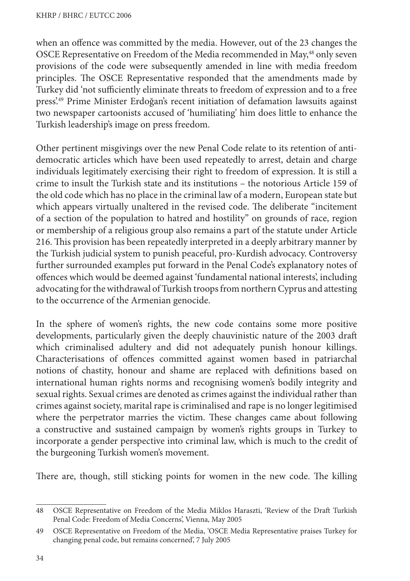when an offence was committed by the media. However, out of the 23 changes the OSCE Representative on Freedom of the Media recommended in May,<sup>48</sup> only seven provisions of the code were subsequently amended in line with media freedom principles. The OSCE Representative responded that the amendments made by Turkey did 'not sufficiently eliminate threats to freedom of expression and to a free press'.49 Prime Minister Erdoğan's recent initiation of defamation lawsuits against two newspaper cartoonists accused of 'humiliating' him does little to enhance the Turkish leadership's image on press freedom.

Other pertinent misgivings over the new Penal Code relate to its retention of antidemocratic articles which have been used repeatedly to arrest, detain and charge individuals legitimately exercising their right to freedom of expression. It is still a crime to insult the Turkish state and its institutions – the notorious Article 159 of the old code which has no place in the criminal law of a modern, European state but which appears virtually unaltered in the revised code. The deliberate "incitement of a section of the population to hatred and hostility" on grounds of race, region or membership of a religious group also remains a part of the statute under Article 216. This provision has been repeatedly interpreted in a deeply arbitrary manner by the Turkish judicial system to punish peaceful, pro-Kurdish advocacy. Controversy further surrounded examples put forward in the Penal Code's explanatory notes of offences which would be deemed against 'fundamental national interests', including advocating for the withdrawal of Turkish troops from northern Cyprus and attesting to the occurrence of the Armenian genocide.

In the sphere of women's rights, the new code contains some more positive developments, particularly given the deeply chauvinistic nature of the 2003 draft which criminalised adultery and did not adequately punish honour killings. Characterisations of offences committed against women based in patriarchal notions of chastity, honour and shame are replaced with definitions based on international human rights norms and recognising women's bodily integrity and sexual rights. Sexual crimes are denoted as crimes against the individual rather than crimes against society, marital rape is criminalised and rape is no longer legitimised where the perpetrator marries the victim. These changes came about following a constructive and sustained campaign by women's rights groups in Turkey to incorporate a gender perspective into criminal law, which is much to the credit of the burgeoning Turkish women's movement.

There are, though, still sticking points for women in the new code. The killing

<sup>48</sup> OSCE Representative on Freedom of the Media Miklos Haraszti, 'Review of the Draft Turkish Penal Code: Freedom of Media Concerns', Vienna, May 2005

<sup>49</sup> OSCE Representative on Freedom of the Media, 'OSCE Media Representative praises Turkey for changing penal code, but remains concerned', 7 July 2005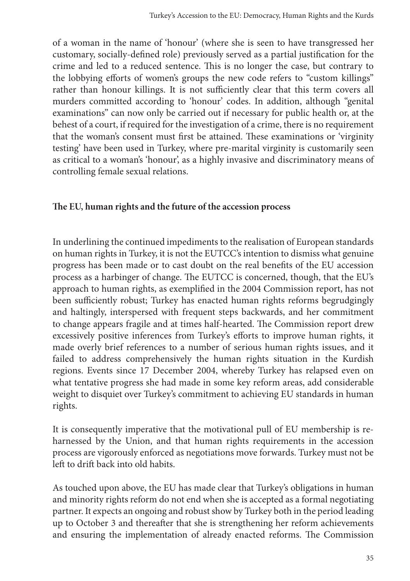of a woman in the name of 'honour' (where she is seen to have transgressed her customary, socially-defined role) previously served as a partial justification for the crime and led to a reduced sentence. This is no longer the case, but contrary to the lobbying efforts of women's groups the new code refers to "custom killings" rather than honour killings. It is not sufficiently clear that this term covers all murders committed according to 'honour' codes. In addition, although "genital examinations" can now only be carried out if necessary for public health or, at the behest of a court, if required for the investigation of a crime, there is no requirement that the woman's consent must first be attained. These examinations or 'virginity testing' have been used in Turkey, where pre-marital virginity is customarily seen as critical to a woman's 'honour', as a highly invasive and discriminatory means of controlling female sexual relations.

#### **The EU, human rights and the future of the accession process**

In underlining the continued impediments to the realisation of European standards on human rights in Turkey, it is not the EUTCC's intention to dismiss what genuine progress has been made or to cast doubt on the real benefits of the EU accession process as a harbinger of change. The EUTCC is concerned, though, that the EU's approach to human rights, as exemplified in the 2004 Commission report, has not been sufficiently robust; Turkey has enacted human rights reforms begrudgingly and haltingly, interspersed with frequent steps backwards, and her commitment to change appears fragile and at times half-hearted. The Commission report drew excessively positive inferences from Turkey's efforts to improve human rights, it made overly brief references to a number of serious human rights issues, and it failed to address comprehensively the human rights situation in the Kurdish regions. Events since 17 December 2004, whereby Turkey has relapsed even on what tentative progress she had made in some key reform areas, add considerable weight to disquiet over Turkey's commitment to achieving EU standards in human rights.

It is consequently imperative that the motivational pull of EU membership is reharnessed by the Union, and that human rights requirements in the accession process are vigorously enforced as negotiations move forwards. Turkey must not be left to drift back into old habits.

As touched upon above, the EU has made clear that Turkey's obligations in human and minority rights reform do not end when she is accepted as a formal negotiating partner. It expects an ongoing and robust show by Turkey both in the period leading up to October 3 and thereafter that she is strengthening her reform achievements and ensuring the implementation of already enacted reforms. The Commission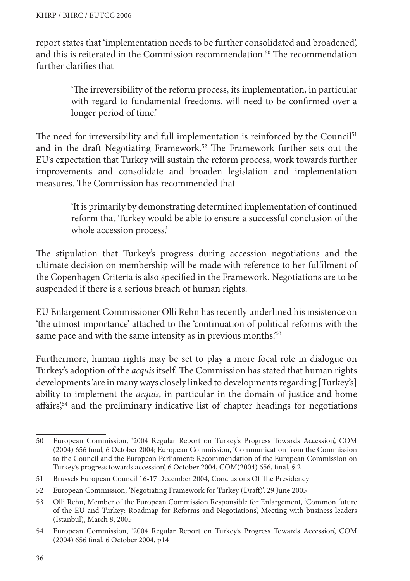report states that 'implementation needs to be further consolidated and broadened', and this is reiterated in the Commission recommendation.<sup>50</sup> The recommendation further clarifies that

> 'The irreversibility of the reform process, its implementation, in particular with regard to fundamental freedoms, will need to be confirmed over a longer period of time.'

The need for irreversibility and full implementation is reinforced by the Council<sup>51</sup> and in the draft Negotiating Framework.52 The Framework further sets out the EU's expectation that Turkey will sustain the reform process, work towards further improvements and consolidate and broaden legislation and implementation measures. The Commission has recommended that

> 'It is primarily by demonstrating determined implementation of continued reform that Turkey would be able to ensure a successful conclusion of the whole accession process.'

The stipulation that Turkey's progress during accession negotiations and the ultimate decision on membership will be made with reference to her fulfilment of the Copenhagen Criteria is also specified in the Framework. Negotiations are to be suspended if there is a serious breach of human rights.

EU Enlargement Commissioner Olli Rehn has recently underlined his insistence on 'the utmost importance' attached to the 'continuation of political reforms with the same pace and with the same intensity as in previous months.<sup>'53</sup>

Furthermore, human rights may be set to play a more focal role in dialogue on Turkey's adoption of the *acquis* itself. The Commission has stated that human rights developments 'are in many ways closely linked to developments regarding [Turkey's] ability to implement the *acquis*, in particular in the domain of justice and home affairs',54 and the preliminary indicative list of chapter headings for negotiations

<sup>50</sup> European Commission, '2004 Regular Report on Turkey's Progress Towards Accession', COM (2004) 656 final, 6 October 2004; European Commission, 'Communication from the Commission to the Council and the European Parliament: Recommendation of the European Commission on Turkey's progress towards accession', 6 October 2004, COM(2004) 656, final, § 2

<sup>51</sup> Brussels European Council 16-17 December 2004, Conclusions Of The Presidency

<sup>52</sup> European Commission, 'Negotiating Framework for Turkey (Draft)', 29 June 2005

<sup>53</sup> Olli Rehn, Member of the European Commission Responsible for Enlargement, 'Common future of the EU and Turkey: Roadmap for Reforms and Negotiations', Meeting with business leaders (Istanbul), March 8, 2005

<sup>54</sup> European Commission, '2004 Regular Report on Turkey's Progress Towards Accession', COM (2004) 656 final, 6 October 2004, p14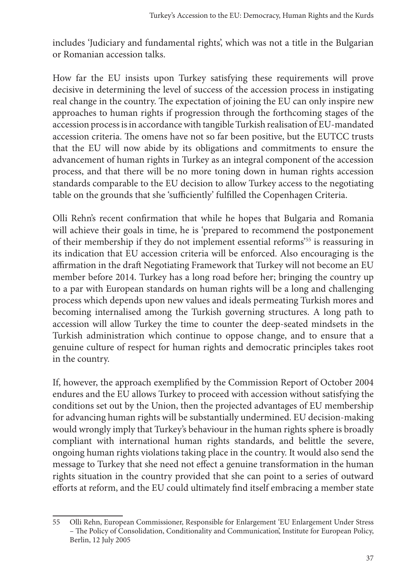includes 'Judiciary and fundamental rights', which was not a title in the Bulgarian or Romanian accession talks.

How far the EU insists upon Turkey satisfying these requirements will prove decisive in determining the level of success of the accession process in instigating real change in the country. The expectation of joining the EU can only inspire new approaches to human rights if progression through the forthcoming stages of the accession process is in accordance with tangible Turkish realisation of EU-mandated accession criteria. The omens have not so far been positive, but the EUTCC trusts that the EU will now abide by its obligations and commitments to ensure the advancement of human rights in Turkey as an integral component of the accession process, and that there will be no more toning down in human rights accession standards comparable to the EU decision to allow Turkey access to the negotiating table on the grounds that she 'sufficiently' fulfilled the Copenhagen Criteria.

Olli Rehn's recent confirmation that while he hopes that Bulgaria and Romania will achieve their goals in time, he is 'prepared to recommend the postponement of their membership if they do not implement essential reforms'55 is reassuring in its indication that EU accession criteria will be enforced. Also encouraging is the affirmation in the draft Negotiating Framework that Turkey will not become an EU member before 2014. Turkey has a long road before her; bringing the country up to a par with European standards on human rights will be a long and challenging process which depends upon new values and ideals permeating Turkish mores and becoming internalised among the Turkish governing structures. A long path to accession will allow Turkey the time to counter the deep-seated mindsets in the Turkish administration which continue to oppose change, and to ensure that a genuine culture of respect for human rights and democratic principles takes root in the country.

If, however, the approach exemplified by the Commission Report of October 2004 endures and the EU allows Turkey to proceed with accession without satisfying the conditions set out by the Union, then the projected advantages of EU membership for advancing human rights will be substantially undermined. EU decision-making would wrongly imply that Turkey's behaviour in the human rights sphere is broadly compliant with international human rights standards, and belittle the severe, ongoing human rights violations taking place in the country. It would also send the message to Turkey that she need not effect a genuine transformation in the human rights situation in the country provided that she can point to a series of outward efforts at reform, and the EU could ultimately find itself embracing a member state

<sup>55</sup> Olli Rehn, European Commissioner, Responsible for Enlargement 'EU Enlargement Under Stress – The Policy of Consolidation, Conditionality and Communication', Institute for European Policy, Berlin, 12 July 2005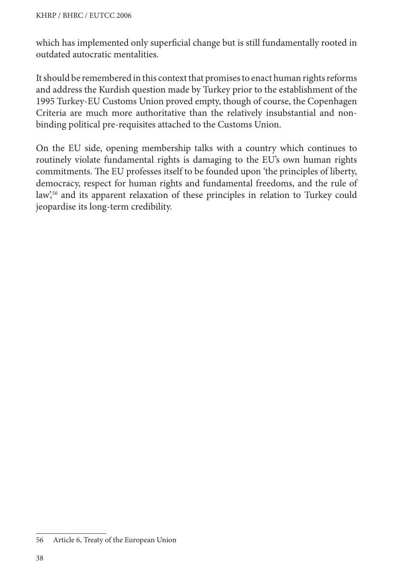which has implemented only superficial change but is still fundamentally rooted in outdated autocratic mentalities.

It should be remembered in this context that promises to enact human rights reforms and address the Kurdish question made by Turkey prior to the establishment of the 1995 Turkey-EU Customs Union proved empty, though of course, the Copenhagen Criteria are much more authoritative than the relatively insubstantial and nonbinding political pre-requisites attached to the Customs Union.

On the EU side, opening membership talks with a country which continues to routinely violate fundamental rights is damaging to the EU's own human rights commitments. The EU professes itself to be founded upon 'the principles of liberty, democracy, respect for human rights and fundamental freedoms, and the rule of law',<sup>56</sup> and its apparent relaxation of these principles in relation to Turkey could jeopardise its long-term credibility.

<sup>56</sup> Article 6, Treaty of the European Union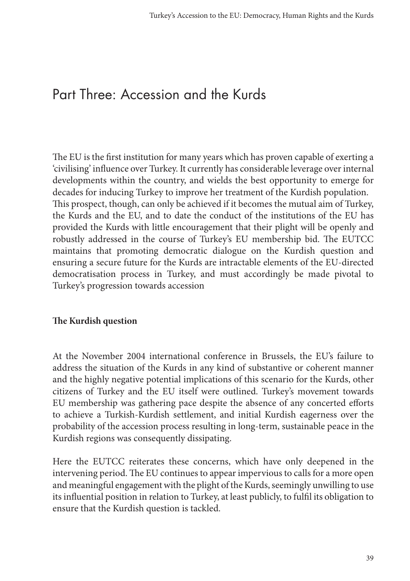### Part Three: Accession and the Kurds

The EU is the first institution for many years which has proven capable of exerting a 'civilising' influence over Turkey. It currently has considerable leverage over internal developments within the country, and wields the best opportunity to emerge for decades for inducing Turkey to improve her treatment of the Kurdish population. This prospect, though, can only be achieved if it becomes the mutual aim of Turkey, the Kurds and the EU, and to date the conduct of the institutions of the EU has provided the Kurds with little encouragement that their plight will be openly and robustly addressed in the course of Turkey's EU membership bid. The EUTCC maintains that promoting democratic dialogue on the Kurdish question and ensuring a secure future for the Kurds are intractable elements of the EU-directed democratisation process in Turkey, and must accordingly be made pivotal to Turkey's progression towards accession

#### **The Kurdish question**

At the November 2004 international conference in Brussels, the EU's failure to address the situation of the Kurds in any kind of substantive or coherent manner and the highly negative potential implications of this scenario for the Kurds, other citizens of Turkey and the EU itself were outlined. Turkey's movement towards EU membership was gathering pace despite the absence of any concerted efforts to achieve a Turkish-Kurdish settlement, and initial Kurdish eagerness over the probability of the accession process resulting in long-term, sustainable peace in the Kurdish regions was consequently dissipating.

Here the EUTCC reiterates these concerns, which have only deepened in the intervening period. The EU continues to appear impervious to calls for a more open and meaningful engagement with the plight of the Kurds, seemingly unwilling to use its influential position in relation to Turkey, at least publicly, to fulfil its obligation to ensure that the Kurdish question is tackled.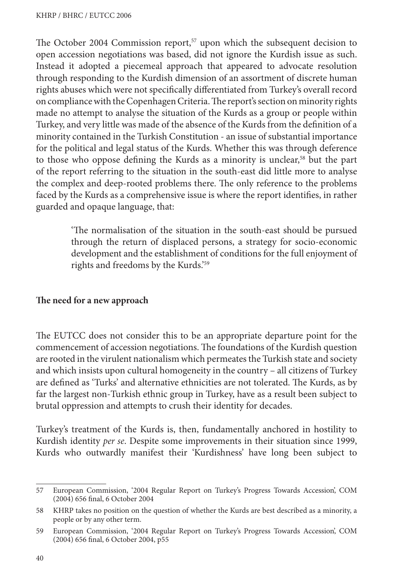The October 2004 Commission report,<sup>57</sup> upon which the subsequent decision to open accession negotiations was based, did not ignore the Kurdish issue as such. Instead it adopted a piecemeal approach that appeared to advocate resolution through responding to the Kurdish dimension of an assortment of discrete human rights abuses which were not specifically differentiated from Turkey's overall record on compliance with the Copenhagen Criteria. The report's section on minority rights made no attempt to analyse the situation of the Kurds as a group or people within Turkey, and very little was made of the absence of the Kurds from the definition of a minority contained in the Turkish Constitution - an issue of substantial importance for the political and legal status of the Kurds. Whether this was through deference to those who oppose defining the Kurds as a minority is unclear,58 but the part of the report referring to the situation in the south-east did little more to analyse the complex and deep-rooted problems there. The only reference to the problems faced by the Kurds as a comprehensive issue is where the report identifies, in rather guarded and opaque language, that:

> 'The normalisation of the situation in the south-east should be pursued through the return of displaced persons, a strategy for socio-economic development and the establishment of conditions for the full enjoyment of rights and freedoms by the Kurds.'59

#### **The need for a new approach**

The EUTCC does not consider this to be an appropriate departure point for the commencement of accession negotiations. The foundations of the Kurdish question are rooted in the virulent nationalism which permeates the Turkish state and society and which insists upon cultural homogeneity in the country – all citizens of Turkey are defined as 'Turks' and alternative ethnicities are not tolerated. The Kurds, as by far the largest non-Turkish ethnic group in Turkey, have as a result been subject to brutal oppression and attempts to crush their identity for decades.

Turkey's treatment of the Kurds is, then, fundamentally anchored in hostility to Kurdish identity *per se*. Despite some improvements in their situation since 1999, Kurds who outwardly manifest their 'Kurdishness' have long been subject to

<sup>57</sup> European Commission, '2004 Regular Report on Turkey's Progress Towards Accession', COM (2004) 656 final, 6 October 2004

<sup>58</sup> KHRP takes no position on the question of whether the Kurds are best described as a minority, a people or by any other term.

<sup>59</sup> European Commission, '2004 Regular Report on Turkey's Progress Towards Accession', COM (2004) 656 final, 6 October 2004, p55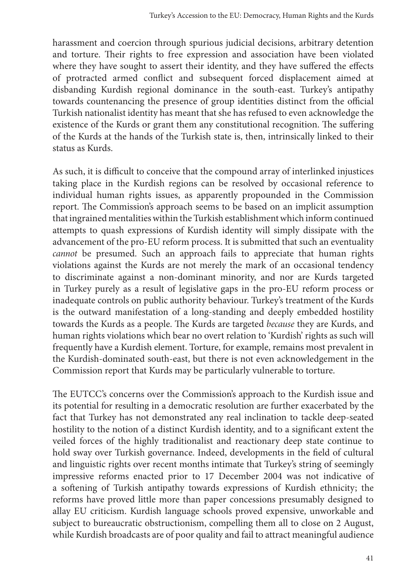harassment and coercion through spurious judicial decisions, arbitrary detention and torture. Their rights to free expression and association have been violated where they have sought to assert their identity, and they have suffered the effects of protracted armed conflict and subsequent forced displacement aimed at disbanding Kurdish regional dominance in the south-east. Turkey's antipathy towards countenancing the presence of group identities distinct from the official Turkish nationalist identity has meant that she has refused to even acknowledge the existence of the Kurds or grant them any constitutional recognition. The suffering of the Kurds at the hands of the Turkish state is, then, intrinsically linked to their status as Kurds.

As such, it is difficult to conceive that the compound array of interlinked injustices taking place in the Kurdish regions can be resolved by occasional reference to individual human rights issues, as apparently propounded in the Commission report. The Commission's approach seems to be based on an implicit assumption that ingrained mentalities within the Turkish establishment which inform continued attempts to quash expressions of Kurdish identity will simply dissipate with the advancement of the pro-EU reform process. It is submitted that such an eventuality *cannot* be presumed. Such an approach fails to appreciate that human rights violations against the Kurds are not merely the mark of an occasional tendency to discriminate against a non-dominant minority, and nor are Kurds targeted in Turkey purely as a result of legislative gaps in the pro-EU reform process or inadequate controls on public authority behaviour. Turkey's treatment of the Kurds is the outward manifestation of a long-standing and deeply embedded hostility towards the Kurds as a people. The Kurds are targeted *because* they are Kurds, and human rights violations which bear no overt relation to 'Kurdish' rights as such will frequently have a Kurdish element. Torture, for example, remains most prevalent in the Kurdish-dominated south-east, but there is not even acknowledgement in the Commission report that Kurds may be particularly vulnerable to torture.

The EUTCC's concerns over the Commission's approach to the Kurdish issue and its potential for resulting in a democratic resolution are further exacerbated by the fact that Turkey has not demonstrated any real inclination to tackle deep-seated hostility to the notion of a distinct Kurdish identity, and to a significant extent the veiled forces of the highly traditionalist and reactionary deep state continue to hold sway over Turkish governance. Indeed, developments in the field of cultural and linguistic rights over recent months intimate that Turkey's string of seemingly impressive reforms enacted prior to 17 December 2004 was not indicative of a softening of Turkish antipathy towards expressions of Kurdish ethnicity; the reforms have proved little more than paper concessions presumably designed to allay EU criticism. Kurdish language schools proved expensive, unworkable and subject to bureaucratic obstructionism, compelling them all to close on 2 August, while Kurdish broadcasts are of poor quality and fail to attract meaningful audience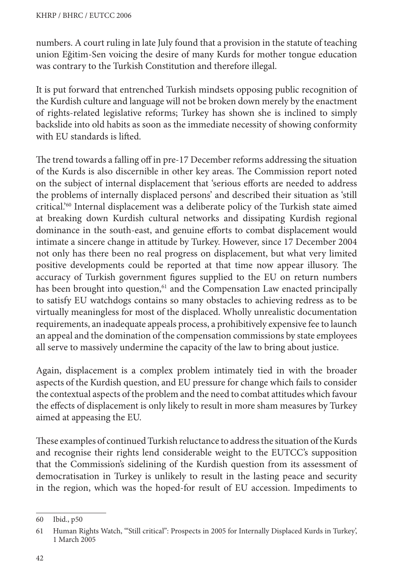numbers. A court ruling in late July found that a provision in the statute of teaching union Eğitim-Sen voicing the desire of many Kurds for mother tongue education was contrary to the Turkish Constitution and therefore illegal.

It is put forward that entrenched Turkish mindsets opposing public recognition of the Kurdish culture and language will not be broken down merely by the enactment of rights-related legislative reforms; Turkey has shown she is inclined to simply backslide into old habits as soon as the immediate necessity of showing conformity with EU standards is lifted.

The trend towards a falling off in pre-17 December reforms addressing the situation of the Kurds is also discernible in other key areas. The Commission report noted on the subject of internal displacement that 'serious efforts are needed to address the problems of internally displaced persons' and described their situation as 'still critical.'60 Internal displacement was a deliberate policy of the Turkish state aimed at breaking down Kurdish cultural networks and dissipating Kurdish regional dominance in the south-east, and genuine efforts to combat displacement would intimate a sincere change in attitude by Turkey. However, since 17 December 2004 not only has there been no real progress on displacement, but what very limited positive developments could be reported at that time now appear illusory. The accuracy of Turkish government figures supplied to the EU on return numbers has been brought into question,<sup>61</sup> and the Compensation Law enacted principally to satisfy EU watchdogs contains so many obstacles to achieving redress as to be virtually meaningless for most of the displaced. Wholly unrealistic documentation requirements, an inadequate appeals process, a prohibitively expensive fee to launch an appeal and the domination of the compensation commissions by state employees all serve to massively undermine the capacity of the law to bring about justice.

Again, displacement is a complex problem intimately tied in with the broader aspects of the Kurdish question, and EU pressure for change which fails to consider the contextual aspects of the problem and the need to combat attitudes which favour the effects of displacement is only likely to result in more sham measures by Turkey aimed at appeasing the EU.

These examples of continued Turkish reluctance to address the situation of the Kurds and recognise their rights lend considerable weight to the EUTCC's supposition that the Commission's sidelining of the Kurdish question from its assessment of democratisation in Turkey is unlikely to result in the lasting peace and security in the region, which was the hoped-for result of EU accession. Impediments to

<sup>60</sup> Ibid., p50

<sup>61</sup> Human Rights Watch, '"Still critical": Prospects in 2005 for Internally Displaced Kurds in Turkey', 1 March 2005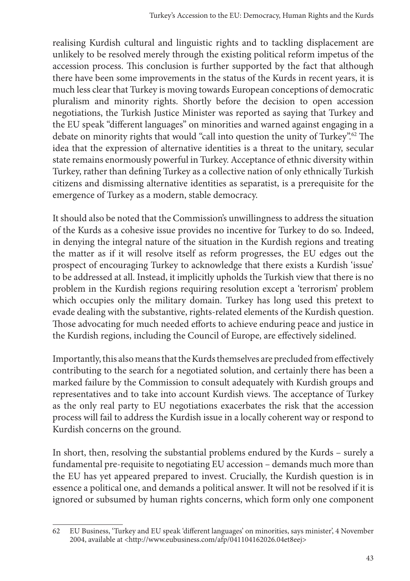realising Kurdish cultural and linguistic rights and to tackling displacement are unlikely to be resolved merely through the existing political reform impetus of the accession process. This conclusion is further supported by the fact that although there have been some improvements in the status of the Kurds in recent years, it is much less clear that Turkey is moving towards European conceptions of democratic pluralism and minority rights. Shortly before the decision to open accession negotiations, the Turkish Justice Minister was reported as saying that Turkey and the EU speak "different languages" on minorities and warned against engaging in a debate on minority rights that would "call into question the unity of Turkey".<sup>62</sup> The idea that the expression of alternative identities is a threat to the unitary, secular state remains enormously powerful in Turkey. Acceptance of ethnic diversity within Turkey, rather than defining Turkey as a collective nation of only ethnically Turkish citizens and dismissing alternative identities as separatist, is a prerequisite for the emergence of Turkey as a modern, stable democracy.

It should also be noted that the Commission's unwillingness to address the situation of the Kurds as a cohesive issue provides no incentive for Turkey to do so. Indeed, in denying the integral nature of the situation in the Kurdish regions and treating the matter as if it will resolve itself as reform progresses, the EU edges out the prospect of encouraging Turkey to acknowledge that there exists a Kurdish 'issue' to be addressed at all. Instead, it implicitly upholds the Turkish view that there is no problem in the Kurdish regions requiring resolution except a 'terrorism' problem which occupies only the military domain. Turkey has long used this pretext to evade dealing with the substantive, rights-related elements of the Kurdish question. Those advocating for much needed efforts to achieve enduring peace and justice in the Kurdish regions, including the Council of Europe, are effectively sidelined.

Importantly, this also means that the Kurds themselves are precluded from effectively contributing to the search for a negotiated solution, and certainly there has been a marked failure by the Commission to consult adequately with Kurdish groups and representatives and to take into account Kurdish views. The acceptance of Turkey as the only real party to EU negotiations exacerbates the risk that the accession process will fail to address the Kurdish issue in a locally coherent way or respond to Kurdish concerns on the ground.

In short, then, resolving the substantial problems endured by the Kurds – surely a fundamental pre-requisite to negotiating EU accession – demands much more than the EU has yet appeared prepared to invest. Crucially, the Kurdish question is in essence a political one, and demands a political answer. It will not be resolved if it is ignored or subsumed by human rights concerns, which form only one component

<sup>62</sup> EU Business, 'Turkey and EU speak 'different languages' on minorities, says minister', 4 November 2004, available at <http://www.eubusiness.com/afp/041104162026.04et8eej>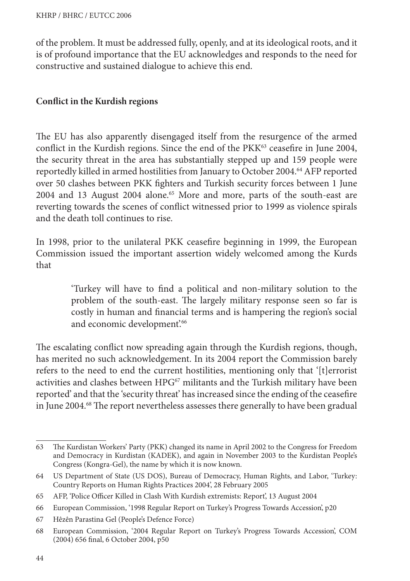of the problem. It must be addressed fully, openly, and at its ideological roots, and it is of profound importance that the EU acknowledges and responds to the need for constructive and sustained dialogue to achieve this end.

#### **Conflict in the Kurdish regions**

The EU has also apparently disengaged itself from the resurgence of the armed conflict in the Kurdish regions. Since the end of the PKK<sup>63</sup> ceasefire in June 2004, the security threat in the area has substantially stepped up and 159 people were reportedly killed in armed hostilities from January to October 2004.64 AFP reported over 50 clashes between PKK fighters and Turkish security forces between 1 June 2004 and 13 August 2004 alone.<sup>65</sup> More and more, parts of the south-east are reverting towards the scenes of conflict witnessed prior to 1999 as violence spirals and the death toll continues to rise.

In 1998, prior to the unilateral PKK ceasefire beginning in 1999, the European Commission issued the important assertion widely welcomed among the Kurds that

> 'Turkey will have to find a political and non-military solution to the problem of the south-east. The largely military response seen so far is costly in human and financial terms and is hampering the region's social and economic development'.<sup>66</sup>

The escalating conflict now spreading again through the Kurdish regions, though, has merited no such acknowledgement. In its 2004 report the Commission barely refers to the need to end the current hostilities, mentioning only that '[t]errorist activities and clashes between HPG<sup>67</sup> militants and the Turkish military have been reported' and that the 'security threat' has increased since the ending of the ceasefire in June 2004.68 The report nevertheless assesses there generally to have been gradual

<sup>63</sup> The Kurdistan Workers' Party (PKK) changed its name in April 2002 to the Congress for Freedom and Democracy in Kurdistan (KADEK), and again in November 2003 to the Kurdistan People's Congress (Kongra-Gel), the name by which it is now known.

<sup>64</sup> US Department of State (US DOS), Bureau of Democracy, Human Rights, and Labor, 'Turkey: Country Reports on Human Rights Practices 2004', 28 February 2005

<sup>65</sup> AFP, 'Police Officer Killed in Clash With Kurdish extremists: Report', 13 August 2004

<sup>66</sup> European Commission, '1998 Regular Report on Turkey's Progress Towards Accession', p20

<sup>67</sup> Hêzên Parastina Gel (People's Defence Force)

<sup>68</sup> European Commission, '2004 Regular Report on Turkey's Progress Towards Accession', COM (2004) 656 final, 6 October 2004, p50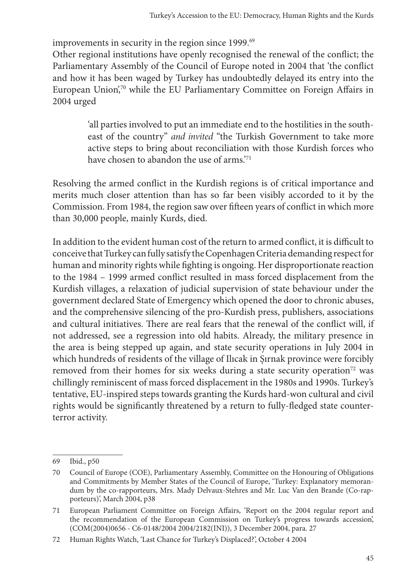improvements in security in the region since 1999.<sup>69</sup>

Other regional institutions have openly recognised the renewal of the conflict; the Parliamentary Assembly of the Council of Europe noted in 2004 that 'the conflict and how it has been waged by Turkey has undoubtedly delayed its entry into the European Union,<sup>70</sup> while the EU Parliamentary Committee on Foreign Affairs in 2004 urged

> 'all parties involved to put an immediate end to the hostilities in the southeast of the country" *and invited* "the Turkish Government to take more active steps to bring about reconciliation with those Kurdish forces who have chosen to abandon the use of arms.<sup>71</sup>

Resolving the armed conflict in the Kurdish regions is of critical importance and merits much closer attention than has so far been visibly accorded to it by the Commission. From 1984, the region saw over fifteen years of conflict in which more than 30,000 people, mainly Kurds, died.

In addition to the evident human cost of the return to armed conflict, it is difficult to conceive that Turkey can fully satisfy the Copenhagen Criteria demanding respect for human and minority rights while fighting is ongoing. Her disproportionate reaction to the 1984 – 1999 armed conflict resulted in mass forced displacement from the Kurdish villages, a relaxation of judicial supervision of state behaviour under the government declared State of Emergency which opened the door to chronic abuses, and the comprehensive silencing of the pro-Kurdish press, publishers, associations and cultural initiatives. There are real fears that the renewal of the conflict will, if not addressed, see a regression into old habits. Already, the military presence in the area is being stepped up again, and state security operations in July 2004 in which hundreds of residents of the village of Ilicak in Sirnak province were forcibly removed from their homes for six weeks during a state security operation<sup>72</sup> was chillingly reminiscent of mass forced displacement in the 1980s and 1990s. Turkey's tentative, EU-inspired steps towards granting the Kurds hard-won cultural and civil rights would be significantly threatened by a return to fully-fledged state counterterror activity.

<sup>69</sup> Ibid., p50

<sup>70</sup> Council of Europe (COE), Parliamentary Assembly, Committee on the Honouring of Obligations and Commitments by Member States of the Council of Europe, 'Turkey: Explanatory memorandum by the co-rapporteurs, Mrs. Mady Delvaux-Stehres and Mr. Luc Van den Brande (Co-rapporteurs)', March 2004, p38

<sup>71</sup> European Parliament Committee on Foreign Affairs, 'Report on the 2004 regular report and the recommendation of the European Commission on Turkey's progress towards accession', (COM(2004)0656 - C6-0148/2004 2004/2182(INI)), 3 December 2004, para. 27

<sup>72</sup> Human Rights Watch, 'Last Chance for Turkey's Displaced?', October 4 2004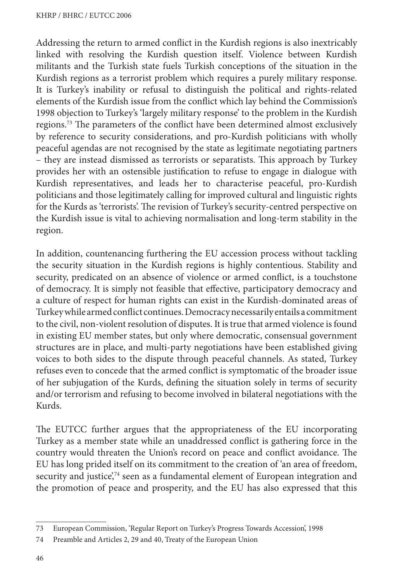Addressing the return to armed conflict in the Kurdish regions is also inextricably linked with resolving the Kurdish question itself. Violence between Kurdish militants and the Turkish state fuels Turkish conceptions of the situation in the Kurdish regions as a terrorist problem which requires a purely military response. It is Turkey's inability or refusal to distinguish the political and rights-related elements of the Kurdish issue from the conflict which lay behind the Commission's 1998 objection to Turkey's 'largely military response' to the problem in the Kurdish regions.73 The parameters of the conflict have been determined almost exclusively by reference to security considerations, and pro-Kurdish politicians with wholly peaceful agendas are not recognised by the state as legitimate negotiating partners – they are instead dismissed as terrorists or separatists. This approach by Turkey provides her with an ostensible justification to refuse to engage in dialogue with Kurdish representatives, and leads her to characterise peaceful, pro-Kurdish politicians and those legitimately calling for improved cultural and linguistic rights for the Kurds as 'terrorists'. The revision of Turkey's security-centred perspective on the Kurdish issue is vital to achieving normalisation and long-term stability in the region.

In addition, countenancing furthering the EU accession process without tackling the security situation in the Kurdish regions is highly contentious. Stability and security, predicated on an absence of violence or armed conflict, is a touchstone of democracy. It is simply not feasible that effective, participatory democracy and a culture of respect for human rights can exist in the Kurdish-dominated areas of Turkey while armed conflict continues. Democracy necessarily entails a commitment to the civil, non-violent resolution of disputes. It is true that armed violence is found in existing EU member states, but only where democratic, consensual government structures are in place, and multi-party negotiations have been established giving voices to both sides to the dispute through peaceful channels. As stated, Turkey refuses even to concede that the armed conflict is symptomatic of the broader issue of her subjugation of the Kurds, defining the situation solely in terms of security and/or terrorism and refusing to become involved in bilateral negotiations with the Kurds.

The EUTCC further argues that the appropriateness of the EU incorporating Turkey as a member state while an unaddressed conflict is gathering force in the country would threaten the Union's record on peace and conflict avoidance. The EU has long prided itself on its commitment to the creation of 'an area of freedom, security and justice,<sup>74</sup> seen as a fundamental element of European integration and the promotion of peace and prosperity, and the EU has also expressed that this

<sup>73</sup> European Commission, 'Regular Report on Turkey's Progress Towards Accession', 1998

<sup>74</sup> Preamble and Articles 2, 29 and 40, Treaty of the European Union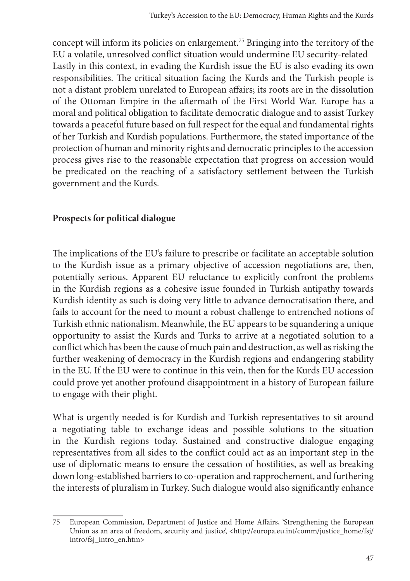concept will inform its policies on enlargement.75 Bringing into the territory of the EU a volatile, unresolved conflict situation would undermine EU security-related Lastly in this context, in evading the Kurdish issue the EU is also evading its own responsibilities. The critical situation facing the Kurds and the Turkish people is not a distant problem unrelated to European affairs; its roots are in the dissolution of the Ottoman Empire in the aftermath of the First World War. Europe has a moral and political obligation to facilitate democratic dialogue and to assist Turkey towards a peaceful future based on full respect for the equal and fundamental rights of her Turkish and Kurdish populations. Furthermore, the stated importance of the protection of human and minority rights and democratic principles to the accession process gives rise to the reasonable expectation that progress on accession would be predicated on the reaching of a satisfactory settlement between the Turkish government and the Kurds.

#### **Prospects for political dialogue**

The implications of the EU's failure to prescribe or facilitate an acceptable solution to the Kurdish issue as a primary objective of accession negotiations are, then, potentially serious. Apparent EU reluctance to explicitly confront the problems in the Kurdish regions as a cohesive issue founded in Turkish antipathy towards Kurdish identity as such is doing very little to advance democratisation there, and fails to account for the need to mount a robust challenge to entrenched notions of Turkish ethnic nationalism. Meanwhile, the EU appears to be squandering a unique opportunity to assist the Kurds and Turks to arrive at a negotiated solution to a conflict which has been the cause of much pain and destruction, as well as risking the further weakening of democracy in the Kurdish regions and endangering stability in the EU. If the EU were to continue in this vein, then for the Kurds EU accession could prove yet another profound disappointment in a history of European failure to engage with their plight.

What is urgently needed is for Kurdish and Turkish representatives to sit around a negotiating table to exchange ideas and possible solutions to the situation in the Kurdish regions today. Sustained and constructive dialogue engaging representatives from all sides to the conflict could act as an important step in the use of diplomatic means to ensure the cessation of hostilities, as well as breaking down long-established barriers to co-operation and rapprochement, and furthering the interests of pluralism in Turkey. Such dialogue would also significantly enhance

<sup>75</sup> European Commission, Department of Justice and Home Affairs, 'Strengthening the European Union as an area of freedom, security and justice', <http://europa.eu.int/comm/justice\_home/fsj/ intro/fsj\_intro\_en.htm>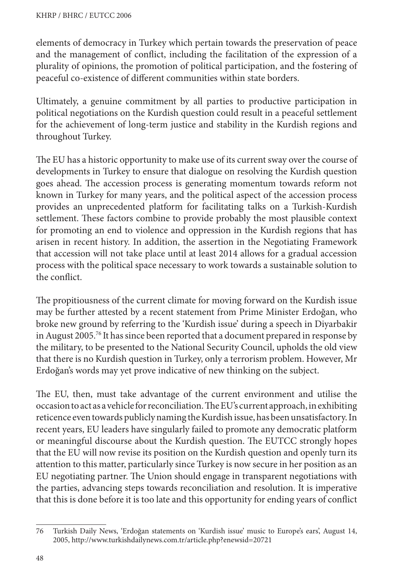elements of democracy in Turkey which pertain towards the preservation of peace and the management of conflict, including the facilitation of the expression of a plurality of opinions, the promotion of political participation, and the fostering of peaceful co-existence of different communities within state borders.

Ultimately, a genuine commitment by all parties to productive participation in political negotiations on the Kurdish question could result in a peaceful settlement for the achievement of long-term justice and stability in the Kurdish regions and throughout Turkey.

The EU has a historic opportunity to make use of its current sway over the course of developments in Turkey to ensure that dialogue on resolving the Kurdish question goes ahead. The accession process is generating momentum towards reform not known in Turkey for many years, and the political aspect of the accession process provides an unprecedented platform for facilitating talks on a Turkish-Kurdish settlement. These factors combine to provide probably the most plausible context for promoting an end to violence and oppression in the Kurdish regions that has arisen in recent history. In addition, the assertion in the Negotiating Framework that accession will not take place until at least 2014 allows for a gradual accession process with the political space necessary to work towards a sustainable solution to the conflict.

The propitiousness of the current climate for moving forward on the Kurdish issue may be further attested by a recent statement from Prime Minister Erdoğan, who broke new ground by referring to the 'Kurdish issue' during a speech in Diyarbakir in August 2005.76 It has since been reported that a document prepared in response by the military, to be presented to the National Security Council, upholds the old view that there is no Kurdish question in Turkey, only a terrorism problem. However, Mr Erdoğan's words may yet prove indicative of new thinking on the subject.

The EU, then, must take advantage of the current environment and utilise the occasion to act as a vehicle for reconciliation. The EU's current approach, in exhibiting reticence even towards publicly naming the Kurdish issue, has been unsatisfactory. In recent years, EU leaders have singularly failed to promote any democratic platform or meaningful discourse about the Kurdish question. The EUTCC strongly hopes that the EU will now revise its position on the Kurdish question and openly turn its attention to this matter, particularly since Turkey is now secure in her position as an EU negotiating partner. The Union should engage in transparent negotiations with the parties, advancing steps towards reconciliation and resolution. It is imperative that this is done before it is too late and this opportunity for ending years of conflict

<sup>76</sup> Turkish Daily News, 'Erdoğan statements on 'Kurdish issue' music to Europe's ears', August 14, 2005, http://www.turkishdailynews.com.tr/article.php?enewsid=20721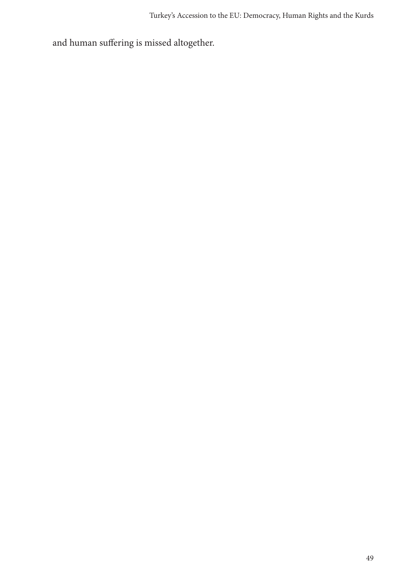and human suffering is missed altogether.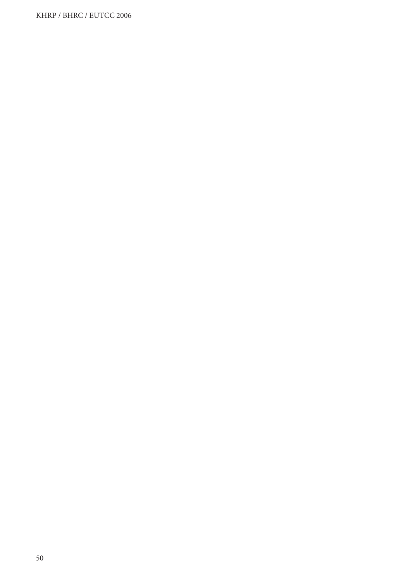KHRP / BHRC / EUTCC 2006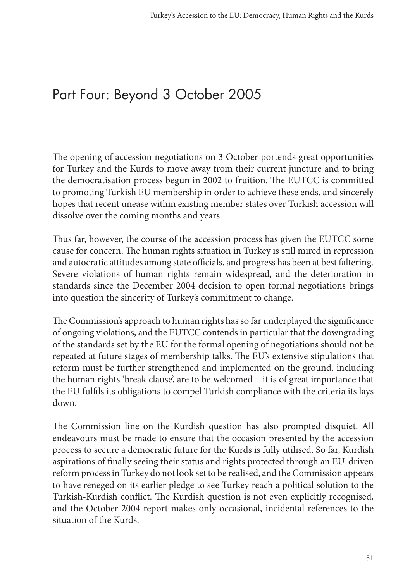# Part Four: Beyond 3 October 2005

The opening of accession negotiations on 3 October portends great opportunities for Turkey and the Kurds to move away from their current juncture and to bring the democratisation process begun in 2002 to fruition. The EUTCC is committed to promoting Turkish EU membership in order to achieve these ends, and sincerely hopes that recent unease within existing member states over Turkish accession will dissolve over the coming months and years.

Thus far, however, the course of the accession process has given the EUTCC some cause for concern. The human rights situation in Turkey is still mired in repression and autocratic attitudes among state officials, and progress has been at best faltering. Severe violations of human rights remain widespread, and the deterioration in standards since the December 2004 decision to open formal negotiations brings into question the sincerity of Turkey's commitment to change.

The Commission's approach to human rights has so far underplayed the significance of ongoing violations, and the EUTCC contends in particular that the downgrading of the standards set by the EU for the formal opening of negotiations should not be repeated at future stages of membership talks. The EU's extensive stipulations that reform must be further strengthened and implemented on the ground, including the human rights 'break clause', are to be welcomed – it is of great importance that the EU fulfils its obligations to compel Turkish compliance with the criteria its lays down.

The Commission line on the Kurdish question has also prompted disquiet. All endeavours must be made to ensure that the occasion presented by the accession process to secure a democratic future for the Kurds is fully utilised. So far, Kurdish aspirations of finally seeing their status and rights protected through an EU-driven reform process in Turkey do not look set to be realised, and the Commission appears to have reneged on its earlier pledge to see Turkey reach a political solution to the Turkish-Kurdish conflict. The Kurdish question is not even explicitly recognised, and the October 2004 report makes only occasional, incidental references to the situation of the Kurds.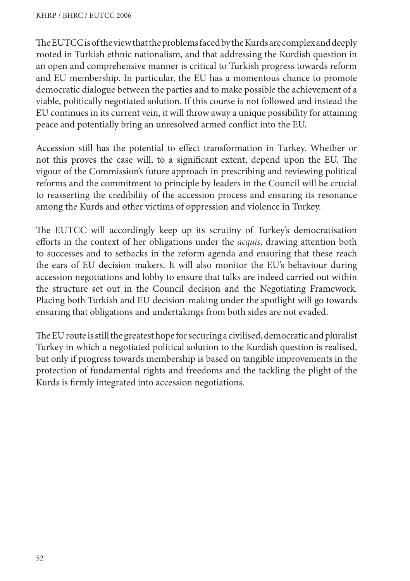The EUTCC is of the view that the problems faced by the Kurds are complex and deeply rooted in Turkish ethnic nationalism, and that addressing the Kurdish question in an open and comprehensive manner is critical to Turkish progress towards reform and EU membership. In particular, the EU has a momentous chance to promote democratic dialogue between the parties and to make possible the achievement of a viable, politically negotiated solution. If this course is not followed and instead the EU continues in its current vein, it will throw away a unique possibility for attaining peace and potentially bring an unresolved armed conflict into the EU.

Accession still has the potential to effect transformation in Turkey. Whether or not this proves the case will, to a significant extent, depend upon the EU. The vigour of the Commission's future approach in prescribing and reviewing political reforms and the commitment to principle by leaders in the Council will be crucial to reasserting the credibility of the accession process and ensuring its resonance among the Kurds and other victims of oppression and violence in Turkey.

The EUTCC will accordingly keep up its scrutiny of Turkey's democratisation efforts in the context of her obligations under the *acquis*, drawing attention both to successes and to setbacks in the reform agenda and ensuring that these reach the ears of EU decision makers. It will also monitor the EU's behaviour during accession negotiations and lobby to ensure that talks are indeed carried out within the structure set out in the Council decision and the Negotiating Framework. Placing both Turkish and EU decision-making under the spotlight will go towards ensuring that obligations and undertakings from both sides are not evaded.

The EU route is still the greatest hope for securing a civilised, democratic and pluralist Turkey in which a negotiated political solution to the Kurdish question is realised, but only if progress towards membership is based on tangible improvements in the protection of fundamental rights and freedoms and the tackling the plight of the Kurds is firmly integrated into accession negotiations.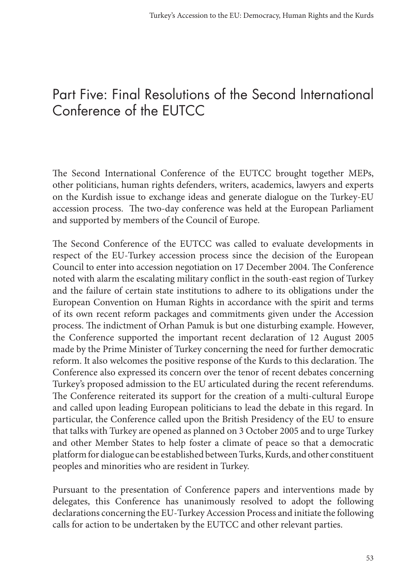### Part Five: Final Resolutions of the Second International Conference of the EUTCC

The Second International Conference of the EUTCC brought together MEPs, other politicians, human rights defenders, writers, academics, lawyers and experts on the Kurdish issue to exchange ideas and generate dialogue on the Turkey-EU accession process. The two-day conference was held at the European Parliament and supported by members of the Council of Europe.

The Second Conference of the EUTCC was called to evaluate developments in respect of the EU-Turkey accession process since the decision of the European Council to enter into accession negotiation on 17 December 2004. The Conference noted with alarm the escalating military conflict in the south-east region of Turkey and the failure of certain state institutions to adhere to its obligations under the European Convention on Human Rights in accordance with the spirit and terms of its own recent reform packages and commitments given under the Accession process. The indictment of Orhan Pamuk is but one disturbing example. However, the Conference supported the important recent declaration of 12 August 2005 made by the Prime Minister of Turkey concerning the need for further democratic reform. It also welcomes the positive response of the Kurds to this declaration. The Conference also expressed its concern over the tenor of recent debates concerning Turkey's proposed admission to the EU articulated during the recent referendums. The Conference reiterated its support for the creation of a multi-cultural Europe and called upon leading European politicians to lead the debate in this regard. In particular, the Conference called upon the British Presidency of the EU to ensure that talks with Turkey are opened as planned on 3 October 2005 and to urge Turkey and other Member States to help foster a climate of peace so that a democratic platform for dialogue can be established between Turks, Kurds, and other constituent peoples and minorities who are resident in Turkey.

Pursuant to the presentation of Conference papers and interventions made by delegates, this Conference has unanimously resolved to adopt the following declarations concerning the EU-Turkey Accession Process and initiate the following calls for action to be undertaken by the EUTCC and other relevant parties.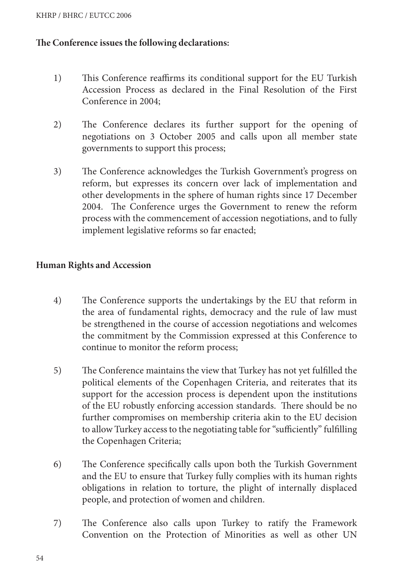#### **The Conference issues the following declarations:**

- 1) This Conference reaffirms its conditional support for the EU Turkish Accession Process as declared in the Final Resolution of the First Conference in 2004;
- 2) The Conference declares its further support for the opening of negotiations on 3 October 2005 and calls upon all member state governments to support this process;
- 3) The Conference acknowledges the Turkish Government's progress on reform, but expresses its concern over lack of implementation and other developments in the sphere of human rights since 17 December 2004. The Conference urges the Government to renew the reform process with the commencement of accession negotiations, and to fully implement legislative reforms so far enacted;

#### **Human Rights and Accession**

- 4) The Conference supports the undertakings by the EU that reform in the area of fundamental rights, democracy and the rule of law must be strengthened in the course of accession negotiations and welcomes the commitment by the Commission expressed at this Conference to continue to monitor the reform process;
- 5) The Conference maintains the view that Turkey has not yet fulfilled the political elements of the Copenhagen Criteria, and reiterates that its support for the accession process is dependent upon the institutions of the EU robustly enforcing accession standards. There should be no further compromises on membership criteria akin to the EU decision to allow Turkey access to the negotiating table for "sufficiently" fulfilling the Copenhagen Criteria;
- 6) The Conference specifically calls upon both the Turkish Government and the EU to ensure that Turkey fully complies with its human rights obligations in relation to torture, the plight of internally displaced people, and protection of women and children.
- 7) The Conference also calls upon Turkey to ratify the Framework Convention on the Protection of Minorities as well as other UN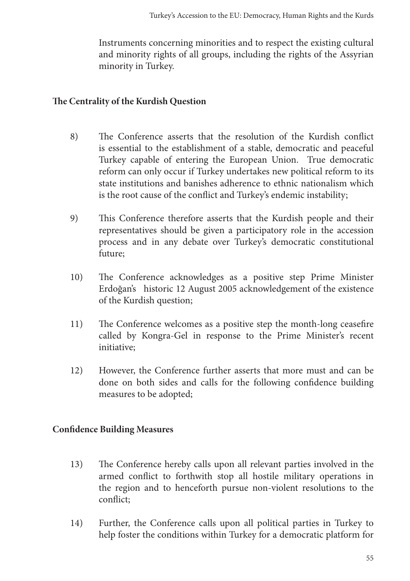Instruments concerning minorities and to respect the existing cultural and minority rights of all groups, including the rights of the Assyrian minority in Turkey.

#### **The Centrality of the Kurdish Question**

- 8) The Conference asserts that the resolution of the Kurdish conflict is essential to the establishment of a stable, democratic and peaceful Turkey capable of entering the European Union. True democratic reform can only occur if Turkey undertakes new political reform to its state institutions and banishes adherence to ethnic nationalism which is the root cause of the conflict and Turkey's endemic instability;
- 9) This Conference therefore asserts that the Kurdish people and their representatives should be given a participatory role in the accession process and in any debate over Turkey's democratic constitutional future;
- 10) The Conference acknowledges as a positive step Prime Minister Erdoğan's historic 12 August 2005 acknowledgement of the existence of the Kurdish question;
- 11) The Conference welcomes as a positive step the month-long ceasefire called by Kongra-Gel in response to the Prime Minister's recent initiative;
- 12) However, the Conference further asserts that more must and can be done on both sides and calls for the following confidence building measures to be adopted;

#### **Confidence Building Measures**

- 13) The Conference hereby calls upon all relevant parties involved in the armed conflict to forthwith stop all hostile military operations in the region and to henceforth pursue non-violent resolutions to the conflict;
- 14) Further, the Conference calls upon all political parties in Turkey to help foster the conditions within Turkey for a democratic platform for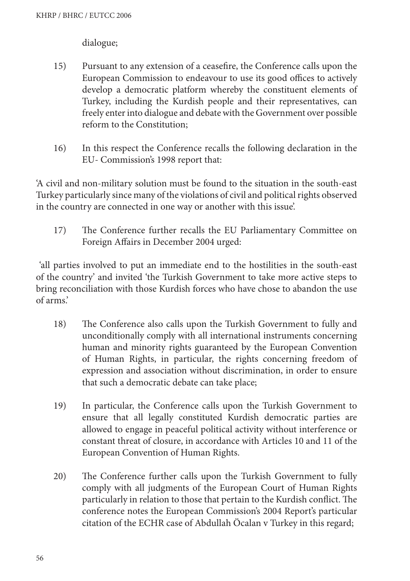dialogue;

- 15) Pursuant to any extension of a ceasefire, the Conference calls upon the European Commission to endeavour to use its good offices to actively develop a democratic platform whereby the constituent elements of Turkey, including the Kurdish people and their representatives, can freely enter into dialogue and debate with the Government over possible reform to the Constitution;
- 16) In this respect the Conference recalls the following declaration in the EU- Commission's 1998 report that:

'A civil and non-military solution must be found to the situation in the south-east Turkey particularly since many of the violations of civil and political rights observed in the country are connected in one way or another with this issue'.

17) The Conference further recalls the EU Parliamentary Committee on Foreign Affairs in December 2004 urged:

 'all parties involved to put an immediate end to the hostilities in the south-east of the country' and invited 'the Turkish Government to take more active steps to bring reconciliation with those Kurdish forces who have chose to abandon the use of arms.'

- 18) The Conference also calls upon the Turkish Government to fully and unconditionally comply with all international instruments concerning human and minority rights guaranteed by the European Convention of Human Rights, in particular, the rights concerning freedom of expression and association without discrimination, in order to ensure that such a democratic debate can take place;
- 19) In particular, the Conference calls upon the Turkish Government to ensure that all legally constituted Kurdish democratic parties are allowed to engage in peaceful political activity without interference or constant threat of closure, in accordance with Articles 10 and 11 of the European Convention of Human Rights.
- 20) The Conference further calls upon the Turkish Government to fully comply with all judgments of the European Court of Human Rights particularly in relation to those that pertain to the Kurdish conflict. The conference notes the European Commission's 2004 Report's particular citation of the ECHR case of Abdullah Öcalan v Turkey in this regard;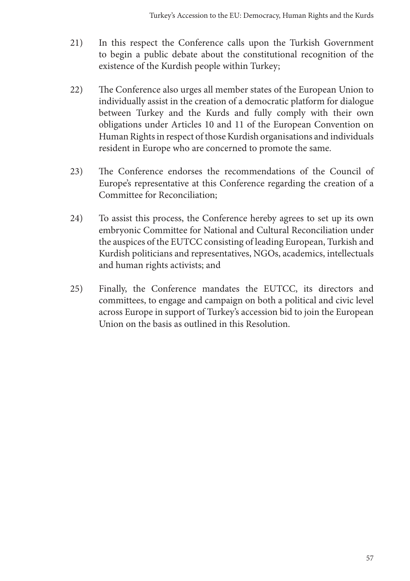- 21) In this respect the Conference calls upon the Turkish Government to begin a public debate about the constitutional recognition of the existence of the Kurdish people within Turkey;
- 22) The Conference also urges all member states of the European Union to individually assist in the creation of a democratic platform for dialogue between Turkey and the Kurds and fully comply with their own obligations under Articles 10 and 11 of the European Convention on Human Rights in respect of those Kurdish organisations and individuals resident in Europe who are concerned to promote the same.
- 23) The Conference endorses the recommendations of the Council of Europe's representative at this Conference regarding the creation of a Committee for Reconciliation;
- 24) To assist this process, the Conference hereby agrees to set up its own embryonic Committee for National and Cultural Reconciliation under the auspices of the EUTCC consisting of leading European, Turkish and Kurdish politicians and representatives, NGOs, academics, intellectuals and human rights activists; and
- 25) Finally, the Conference mandates the EUTCC, its directors and committees, to engage and campaign on both a political and civic level across Europe in support of Turkey's accession bid to join the European Union on the basis as outlined in this Resolution.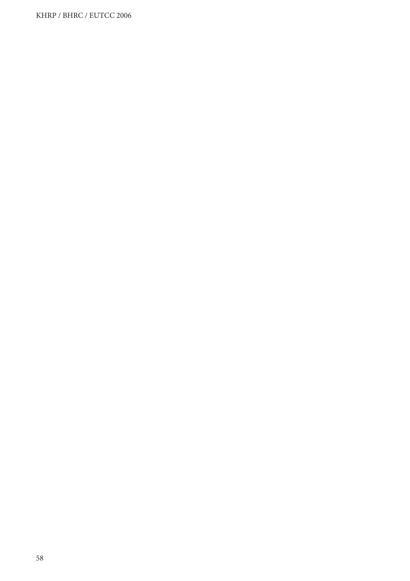KHRP / BHRC / EUTCC 2006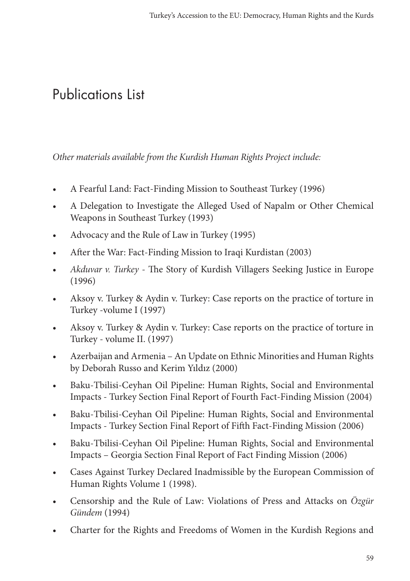# Publications List

*Other materials available from the Kurdish Human Rights Project include:*

- A Fearful Land: Fact-Finding Mission to Southeast Turkey (1996)
- A Delegation to Investigate the Alleged Used of Napalm or Other Chemical Weapons in Southeast Turkey (1993)
- Advocacy and the Rule of Law in Turkey (1995)
- After the War: Fact-Finding Mission to Iraqi Kurdistan (2003)
- *Akduvar v. Turkey* The Story of Kurdish Villagers Seeking Justice in Europe (1996)
- Aksoy v. Turkey & Aydin v. Turkey: Case reports on the practice of torture in Turkey -volume I (1997)
- Aksoy v. Turkey & Aydin v. Turkey: Case reports on the practice of torture in Turkey - volume II. (1997)
- Azerbaijan and Armenia An Update on Ethnic Minorities and Human Rights by Deborah Russo and Kerim Yıldız (2000)
- Baku-Tbilisi-Ceyhan Oil Pipeline: Human Rights, Social and Environmental Impacts - Turkey Section Final Report of Fourth Fact-Finding Mission (2004)
- Baku-Tbilisi-Ceyhan Oil Pipeline: Human Rights, Social and Environmental Impacts - Turkey Section Final Report of Fifth Fact-Finding Mission (2006)
- Baku-Tbilisi-Ceyhan Oil Pipeline: Human Rights, Social and Environmental Impacts – Georgia Section Final Report of Fact Finding Mission (2006)
- Cases Against Turkey Declared Inadmissible by the European Commission of Human Rights Volume 1 (1998).
- Censorship and the Rule of Law: Violations of Press and Attacks on *Özgür Gündem* (1994)
- Charter for the Rights and Freedoms of Women in the Kurdish Regions and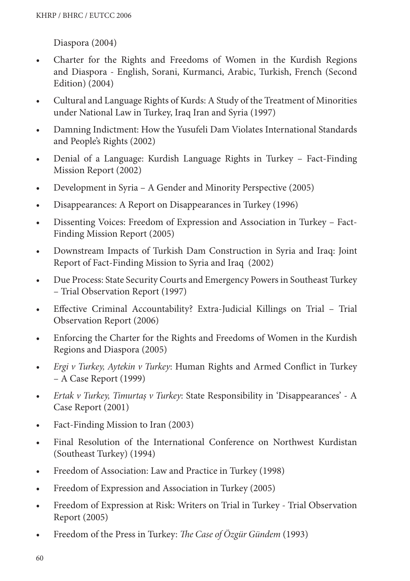Diaspora (2004)

- Charter for the Rights and Freedoms of Women in the Kurdish Regions and Diaspora - English, Sorani, Kurmanci, Arabic, Turkish, French (Second Edition) (2004)
- Cultural and Language Rights of Kurds: A Study of the Treatment of Minorities under National Law in Turkey, Iraq Iran and Syria (1997)
- Damning Indictment: How the Yusufeli Dam Violates International Standards and People's Rights (2002)
- Denial of a Language: Kurdish Language Rights in Turkey Fact-Finding Mission Report (2002)
- Development in Syria A Gender and Minority Perspective (2005)
- Disappearances: A Report on Disappearances in Turkey (1996)
- Dissenting Voices: Freedom of Expression and Association in Turkey Fact-Finding Mission Report (2005)
- Downstream Impacts of Turkish Dam Construction in Syria and Iraq: Joint Report of Fact-Finding Mission to Syria and Iraq (2002)
- Due Process: State Security Courts and Emergency Powers in Southeast Turkey – Trial Observation Report (1997)
- Effective Criminal Accountability? Extra-Judicial Killings on Trial Trial Observation Report (2006)
- Enforcing the Charter for the Rights and Freedoms of Women in the Kurdish Regions and Diaspora (2005)
- *Ergi v Turkey, Aytekin v Turkey*: Human Rights and Armed Conflict in Turkey – A Case Report (1999)
- *Ertak v Turkey, Timurtaş v Turkey*: State Responsibility in 'Disappearances' A Case Report (2001)
- Fact-Finding Mission to Iran (2003)
- Final Resolution of the International Conference on Northwest Kurdistan (Southeast Turkey) (1994)
- Freedom of Association: Law and Practice in Turkey (1998)
- Freedom of Expression and Association in Turkey (2005)
- Freedom of Expression at Risk: Writers on Trial in Turkey Trial Observation Report (2005)
- Freedom of the Press in Turkey: *The Case of Özgür Gündem* (1993)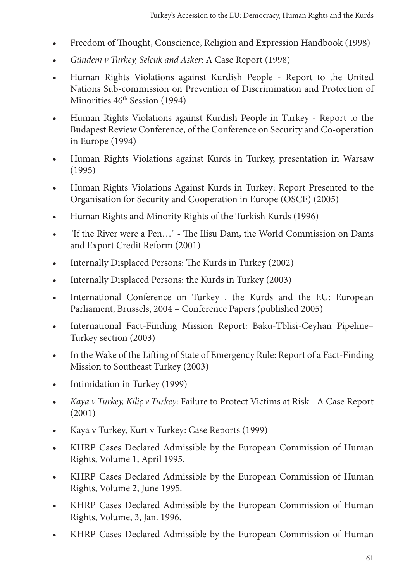- Freedom of Thought, Conscience, Religion and Expression Handbook (1998)
- *Gündem v Turkey, Selcuk and Asker*: A Case Report (1998)
- Human Rights Violations against Kurdish People Report to the United Nations Sub-commission on Prevention of Discrimination and Protection of Minorities 46<sup>th</sup> Session (1994)
- Human Rights Violations against Kurdish People in Turkey Report to the Budapest Review Conference, of the Conference on Security and Co-operation in Europe (1994)
- Human Rights Violations against Kurds in Turkey, presentation in Warsaw (1995)
- Human Rights Violations Against Kurds in Turkey: Report Presented to the Organisation for Security and Cooperation in Europe (OSCE) (2005)
- Human Rights and Minority Rights of the Turkish Kurds (1996)
- "If the River were a Pen..." The Ilisu Dam, the World Commission on Dams and Export Credit Reform (2001)
- Internally Displaced Persons: The Kurds in Turkey (2002)
- Internally Displaced Persons: the Kurds in Turkey (2003)
- International Conference on Turkey , the Kurds and the EU: European Parliament, Brussels, 2004 – Conference Papers (published 2005)
- International Fact-Finding Mission Report: Baku-Tblisi-Ceyhan Pipeline– Turkey section (2003)
- In the Wake of the Lifting of State of Emergency Rule: Report of a Fact-Finding Mission to Southeast Turkey (2003)
- Intimidation in Turkey (1999)
- *Kaya v Turkey, Kiliç v Turkey*: Failure to Protect Victims at Risk A Case Report (2001)
- Kaya v Turkey, Kurt v Turkey: Case Reports (1999)
- KHRP Cases Declared Admissible by the European Commission of Human Rights, Volume 1, April 1995.
- KHRP Cases Declared Admissible by the European Commission of Human Rights, Volume 2, June 1995.
- KHRP Cases Declared Admissible by the European Commission of Human Rights, Volume, 3, Jan. 1996.
- KHRP Cases Declared Admissible by the European Commission of Human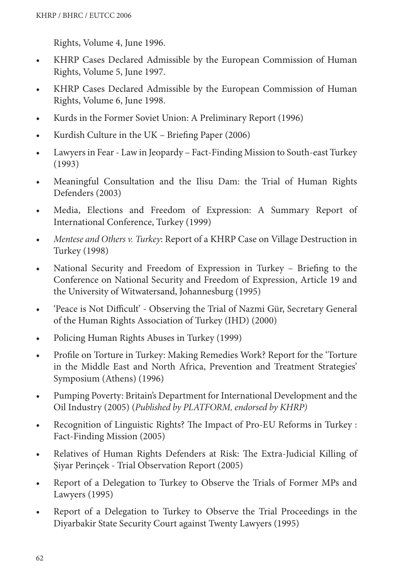Rights, Volume 4, June 1996.

- KHRP Cases Declared Admissible by the European Commission of Human Rights, Volume 5, June 1997.
- KHRP Cases Declared Admissible by the European Commission of Human Rights, Volume 6, June 1998.
- Kurds in the Former Soviet Union: A Preliminary Report (1996)
- Kurdish Culture in the UK Briefing Paper (2006)
- Lawyers in Fear Law in Jeopardy Fact-Finding Mission to South-east Turkey (1993)
- Meaningful Consultation and the Ilisu Dam: the Trial of Human Rights Defenders (2003)
- Media, Elections and Freedom of Expression: A Summary Report of International Conference, Turkey (1999)
- *Mentese and Others v. Turkey*: Report of a KHRP Case on Village Destruction in Turkey (1998)
- National Security and Freedom of Expression in Turkey Briefing to the Conference on National Security and Freedom of Expression, Article 19 and the University of Witwatersand, Johannesburg (1995)
- 'Peace is Not Difficult' Observing the Trial of Nazmi Gür, Secretary General of the Human Rights Association of Turkey (IHD) (2000)
- Policing Human Rights Abuses in Turkey (1999)
- Profile on Torture in Turkey: Making Remedies Work? Report for the 'Torture in the Middle East and North Africa, Prevention and Treatment Strategies' Symposium (Athens) (1996)
- Pumping Poverty: Britain's Department for International Development and the Oil Industry (2005) (*Published by PLATFORM, endorsed by KHRP)*
- Recognition of Linguistic Rights? The Impact of Pro-EU Reforms in Turkey : Fact-Finding Mission (2005)
- Relatives of Human Rights Defenders at Risk: The Extra-Judicial Killing of Şiyar Perinçek - Trial Observation Report (2005)
- Report of a Delegation to Turkey to Observe the Trials of Former MPs and Lawyers (1995)
- Report of a Delegation to Turkey to Observe the Trial Proceedings in the Diyarbakir State Security Court against Twenty Lawyers (1995)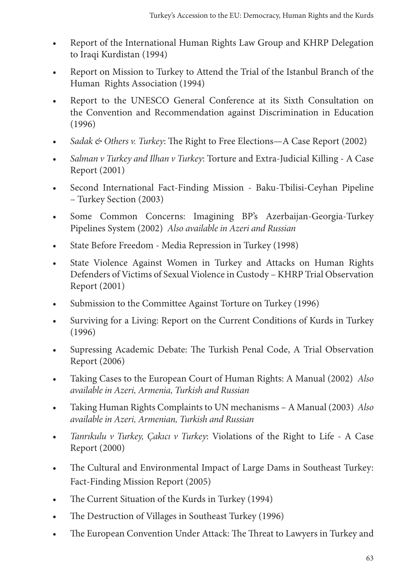- Report of the International Human Rights Law Group and KHRP Delegation to Iraqi Kurdistan (1994)
- Report on Mission to Turkey to Attend the Trial of the Istanbul Branch of the Human Rights Association (1994)
- Report to the UNESCO General Conference at its Sixth Consultation on the Convention and Recommendation against Discrimination in Education (1996)
- *Sadak & Others v. Turkey*: The Right to Free Elections—A Case Report (2002)
- *Salman v Turkey and Ilhan v Turkey*: Torture and Extra-Judicial Killing A Case Report (2001)
- Second International Fact-Finding Mission Baku-Tbilisi-Ceyhan Pipeline – Turkey Section (2003)
- Some Common Concerns: Imagining BP's Azerbaijan-Georgia-Turkey Pipelines System (2002) *Also available in Azeri and Russian*
- State Before Freedom Media Repression in Turkey (1998)
- State Violence Against Women in Turkey and Attacks on Human Rights Defenders of Victims of Sexual Violence in Custody – KHRP Trial Observation Report (2001)
- Submission to the Committee Against Torture on Turkey (1996)
- Surviving for a Living: Report on the Current Conditions of Kurds in Turkey (1996)
- Supressing Academic Debate: The Turkish Penal Code, A Trial Observation Report (2006)
- Taking Cases to the European Court of Human Rights: A Manual (2002) *Also available in Azeri, Armenia, Turkish and Russian*
- Taking Human Rights Complaints to UN mechanisms A Manual (2003) *Also available in Azeri, Armenian, Turkish and Russian*
- *Tanrıkulu v Turkey, Çakıcı v Turkey*: Violations of the Right to Life A Case Report (2000)
- The Cultural and Environmental Impact of Large Dams in Southeast Turkey: Fact-Finding Mission Report (2005)
- The Current Situation of the Kurds in Turkey (1994)
- The Destruction of Villages in Southeast Turkey (1996)
- The European Convention Under Attack: The Threat to Lawyers in Turkey and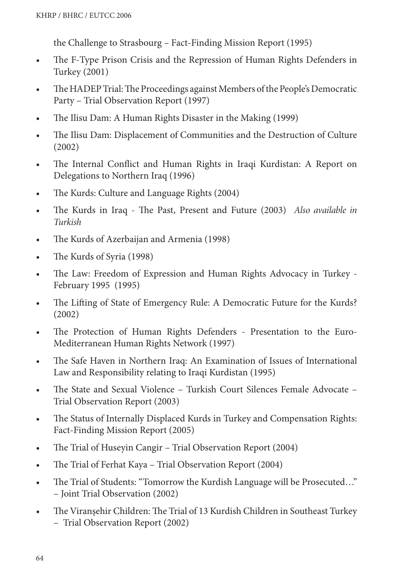the Challenge to Strasbourg – Fact-Finding Mission Report (1995)

- The F-Type Prison Crisis and the Repression of Human Rights Defenders in Turkey (2001)
- The HADEP Trial: The Proceedings against Members of the People's Democratic Party – Trial Observation Report (1997)
- The Ilisu Dam: A Human Rights Disaster in the Making (1999)
- The Ilisu Dam: Displacement of Communities and the Destruction of Culture (2002)
- The Internal Conflict and Human Rights in Iraqi Kurdistan: A Report on Delegations to Northern Iraq (1996)
- The Kurds: Culture and Language Rights (2004)
- The Kurds in Iraq The Past, Present and Future (2003) *Also available in Turkish*
- The Kurds of Azerbaijan and Armenia (1998)
- The Kurds of Syria (1998)
- The Law: Freedom of Expression and Human Rights Advocacy in Turkey February 1995 (1995)
- The Lifting of State of Emergency Rule: A Democratic Future for the Kurds? (2002)
- The Protection of Human Rights Defenders Presentation to the Euro-Mediterranean Human Rights Network (1997)
- The Safe Haven in Northern Iraq: An Examination of Issues of International Law and Responsibility relating to Iraqi Kurdistan (1995)
- The State and Sexual Violence Turkish Court Silences Female Advocate Trial Observation Report (2003)
- The Status of Internally Displaced Kurds in Turkey and Compensation Rights: Fact-Finding Mission Report (2005)
- The Trial of Huseyin Cangir Trial Observation Report (2004)
- The Trial of Ferhat Kaya Trial Observation Report (2004)
- The Trial of Students: "Tomorrow the Kurdish Language will be Prosecuted…" – Joint Trial Observation (2002)
- The Viranşehir Children: The Trial of 13 Kurdish Children in Southeast Turkey – Trial Observation Report (2002)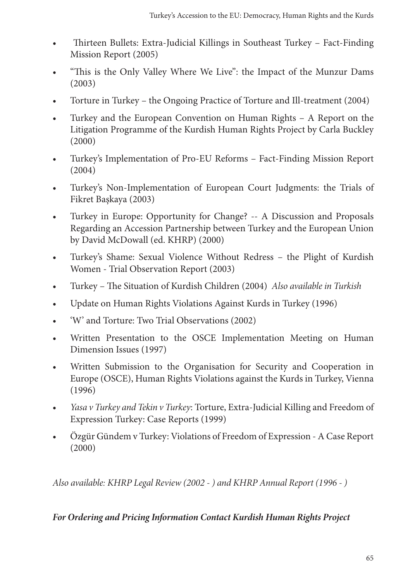- Thirteen Bullets: Extra-Judicial Killings in Southeast Turkey Fact-Finding Mission Report (2005)
- "This is the Only Valley Where We Live": the Impact of the Munzur Dams (2003)
- Torture in Turkey the Ongoing Practice of Torture and Ill-treatment (2004)
- Turkey and the European Convention on Human Rights A Report on the Litigation Programme of the Kurdish Human Rights Project by Carla Buckley (2000)
- Turkey's Implementation of Pro-EU Reforms Fact-Finding Mission Report (2004)
- Turkey's Non-Implementation of European Court Judgments: the Trials of Fikret Başkaya (2003)
- Turkey in Europe: Opportunity for Change? -- A Discussion and Proposals Regarding an Accession Partnership between Turkey and the European Union by David McDowall (ed. KHRP) (2000)
- Turkey's Shame: Sexual Violence Without Redress the Plight of Kurdish Women - Trial Observation Report (2003)
- Turkey The Situation of Kurdish Children (2004) *Also available in Turkish*
- Update on Human Rights Violations Against Kurds in Turkey (1996)
- 'W' and Torture: Two Trial Observations (2002)
- Written Presentation to the OSCE Implementation Meeting on Human Dimension Issues (1997)
- Written Submission to the Organisation for Security and Cooperation in Europe (OSCE), Human Rights Violations against the Kurds in Turkey, Vienna (1996)
- *Yasa v Turkey and Tekin v Turkey*: Torture, Extra-Judicial Killing and Freedom of Expression Turkey: Case Reports (1999)
- Özgür Gündem v Turkey: Violations of Freedom of Expression A Case Report (2000)

*Also available: KHRP Legal Review (2002 - ) and KHRP Annual Report (1996 - )*

#### *For Ordering and Pricing Information Contact Kurdish Human Rights Project*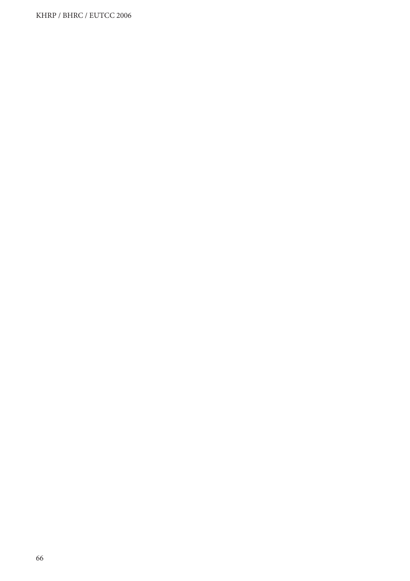KHRP / BHRC / EUTCC 2006